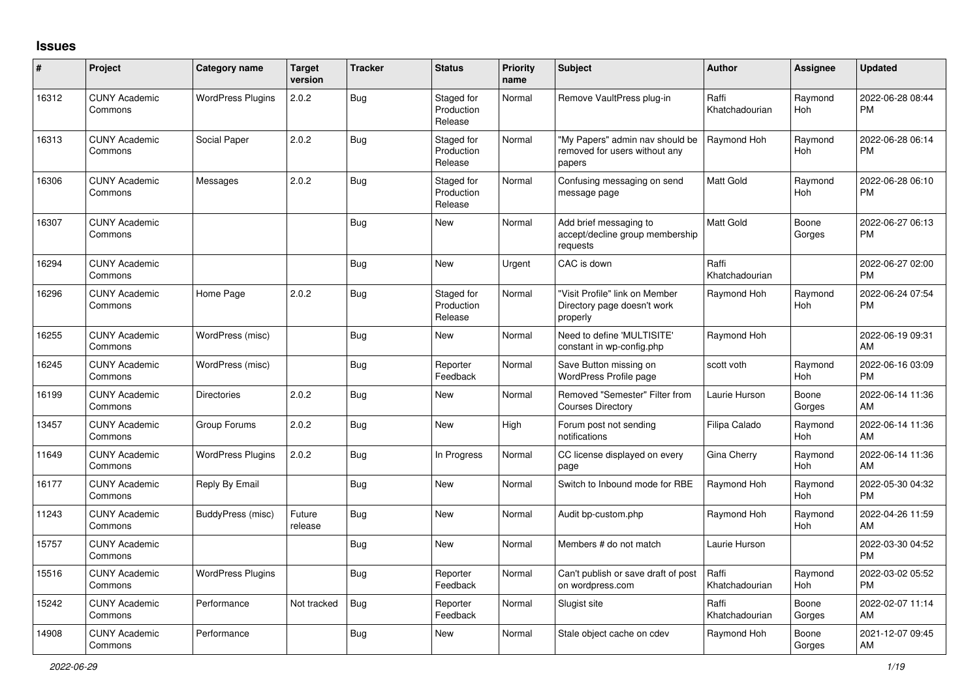## **Issues**

| #     | Project                         | <b>Category name</b>     | <b>Target</b><br>version | <b>Tracker</b> | <b>Status</b>                       | <b>Priority</b><br>name | <b>Subject</b>                                                             | <b>Author</b>           | <b>Assignee</b> | <b>Updated</b>                |
|-------|---------------------------------|--------------------------|--------------------------|----------------|-------------------------------------|-------------------------|----------------------------------------------------------------------------|-------------------------|-----------------|-------------------------------|
| 16312 | <b>CUNY Academic</b><br>Commons | <b>WordPress Plugins</b> | 2.0.2                    | <b>Bug</b>     | Staged for<br>Production<br>Release | Normal                  | Remove VaultPress plug-in                                                  | Raffi<br>Khatchadourian | Raymond<br>Hoh  | 2022-06-28 08:44<br><b>PM</b> |
| 16313 | <b>CUNY Academic</b><br>Commons | Social Paper             | 2.0.2                    | Bug            | Staged for<br>Production<br>Release | Normal                  | "My Papers" admin nav should be<br>removed for users without any<br>papers | Raymond Hoh             | Raymond<br>Hoh  | 2022-06-28 06:14<br><b>PM</b> |
| 16306 | <b>CUNY Academic</b><br>Commons | Messages                 | 2.0.2                    | <b>Bug</b>     | Staged for<br>Production<br>Release | Normal                  | Confusing messaging on send<br>message page                                | <b>Matt Gold</b>        | Raymond<br>Hoh  | 2022-06-28 06:10<br><b>PM</b> |
| 16307 | <b>CUNY Academic</b><br>Commons |                          |                          | Bug            | <b>New</b>                          | Normal                  | Add brief messaging to<br>accept/decline group membership<br>requests      | <b>Matt Gold</b>        | Boone<br>Gorges | 2022-06-27 06:13<br><b>PM</b> |
| 16294 | <b>CUNY Academic</b><br>Commons |                          |                          | <b>Bug</b>     | <b>New</b>                          | Urgent                  | CAC is down                                                                | Raffi<br>Khatchadourian |                 | 2022-06-27 02:00<br><b>PM</b> |
| 16296 | <b>CUNY Academic</b><br>Commons | Home Page                | 2.0.2                    | <b>Bug</b>     | Staged for<br>Production<br>Release | Normal                  | "Visit Profile" link on Member<br>Directory page doesn't work<br>properly  | Raymond Hoh             | Raymond<br>Hoh  | 2022-06-24 07:54<br><b>PM</b> |
| 16255 | <b>CUNY Academic</b><br>Commons | WordPress (misc)         |                          | Bug            | New                                 | Normal                  | Need to define 'MULTISITE'<br>constant in wp-config.php                    | Raymond Hoh             |                 | 2022-06-19 09:31<br>AM        |
| 16245 | <b>CUNY Academic</b><br>Commons | WordPress (misc)         |                          | Bug            | Reporter<br>Feedback                | Normal                  | Save Button missing on<br><b>WordPress Profile page</b>                    | scott voth              | Raymond<br>Hoh  | 2022-06-16 03:09<br><b>PM</b> |
| 16199 | <b>CUNY Academic</b><br>Commons | <b>Directories</b>       | 2.0.2                    | <b>Bug</b>     | New                                 | Normal                  | Removed "Semester" Filter from<br><b>Courses Directory</b>                 | Laurie Hurson           | Boone<br>Gorges | 2022-06-14 11:36<br>AM        |
| 13457 | <b>CUNY Academic</b><br>Commons | Group Forums             | 2.0.2                    | <b>Bug</b>     | <b>New</b>                          | High                    | Forum post not sending<br>notifications                                    | Filipa Calado           | Raymond<br>Hoh  | 2022-06-14 11:36<br>AM        |
| 11649 | <b>CUNY Academic</b><br>Commons | <b>WordPress Plugins</b> | 2.0.2                    | Bug            | In Progress                         | Normal                  | CC license displayed on every<br>page                                      | Gina Cherry             | Raymond<br>Hoh  | 2022-06-14 11:36<br>AM        |
| 16177 | <b>CUNY Academic</b><br>Commons | Reply By Email           |                          | Bug            | <b>New</b>                          | Normal                  | Switch to Inbound mode for RBE                                             | Raymond Hoh             | Raymond<br>Hoh  | 2022-05-30 04:32<br><b>PM</b> |
| 11243 | <b>CUNY Academic</b><br>Commons | BuddyPress (misc)        | Future<br>release        | <b>Bug</b>     | <b>New</b>                          | Normal                  | Audit bp-custom.php                                                        | Raymond Hoh             | Raymond<br>Hoh  | 2022-04-26 11:59<br>AM        |
| 15757 | <b>CUNY Academic</b><br>Commons |                          |                          | Bug            | <b>New</b>                          | Normal                  | Members # do not match                                                     | Laurie Hurson           |                 | 2022-03-30 04:52<br><b>PM</b> |
| 15516 | <b>CUNY Academic</b><br>Commons | <b>WordPress Plugins</b> |                          | <b>Bug</b>     | Reporter<br>Feedback                | Normal                  | Can't publish or save draft of post<br>on wordpress.com                    | Raffi<br>Khatchadourian | Raymond<br>Hoh  | 2022-03-02 05:52<br><b>PM</b> |
| 15242 | <b>CUNY Academic</b><br>Commons | Performance              | Not tracked              | Bug            | Reporter<br>Feedback                | Normal                  | Slugist site                                                               | Raffi<br>Khatchadourian | Boone<br>Gorges | 2022-02-07 11:14<br>AM        |
| 14908 | <b>CUNY Academic</b><br>Commons | Performance              |                          | <b>Bug</b>     | <b>New</b>                          | Normal                  | Stale object cache on cdev                                                 | Raymond Hoh             | Boone<br>Gorges | 2021-12-07 09:45<br>AM        |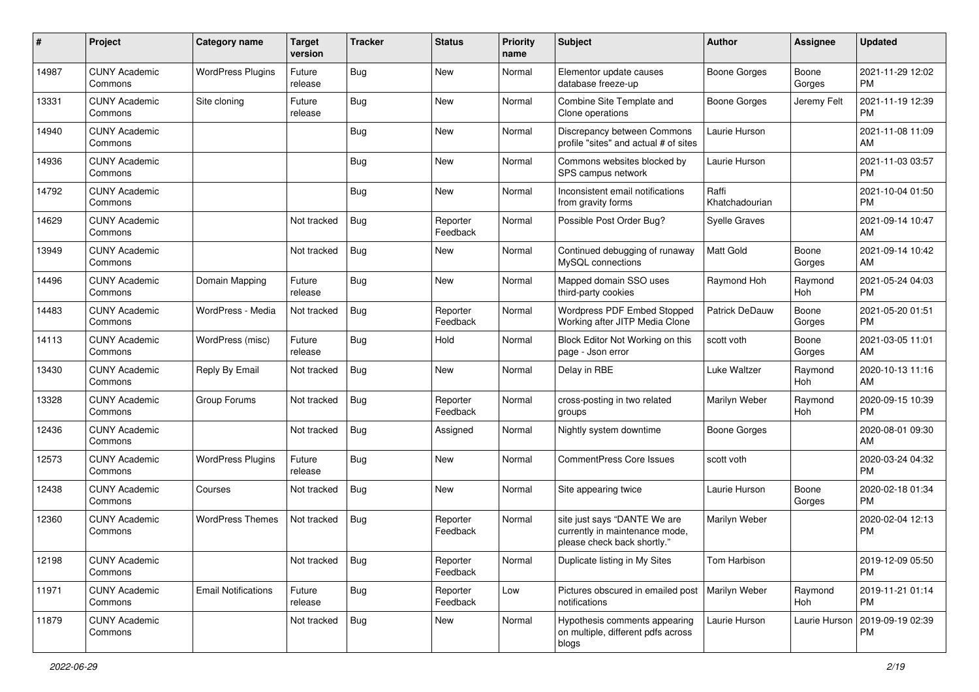| #     | Project                         | <b>Category name</b>       | Target<br>version | <b>Tracker</b> | <b>Status</b>        | <b>Priority</b><br>name | Subject                                                                                       | <b>Author</b>           | <b>Assignee</b> | <b>Updated</b>                |
|-------|---------------------------------|----------------------------|-------------------|----------------|----------------------|-------------------------|-----------------------------------------------------------------------------------------------|-------------------------|-----------------|-------------------------------|
| 14987 | <b>CUNY Academic</b><br>Commons | <b>WordPress Plugins</b>   | Future<br>release | Bug            | <b>New</b>           | Normal                  | Elementor update causes<br>database freeze-up                                                 | <b>Boone Gorges</b>     | Boone<br>Gorges | 2021-11-29 12:02<br><b>PM</b> |
| 13331 | <b>CUNY Academic</b><br>Commons | Site cloning               | Future<br>release | Bug            | New                  | Normal                  | Combine Site Template and<br>Clone operations                                                 | <b>Boone Gorges</b>     | Jeremy Felt     | 2021-11-19 12:39<br><b>PM</b> |
| 14940 | <b>CUNY Academic</b><br>Commons |                            |                   | Bug            | <b>New</b>           | Normal                  | Discrepancy between Commons<br>profile "sites" and actual # of sites                          | Laurie Hurson           |                 | 2021-11-08 11:09<br>AM        |
| 14936 | <b>CUNY Academic</b><br>Commons |                            |                   | <b>Bug</b>     | <b>New</b>           | Normal                  | Commons websites blocked by<br>SPS campus network                                             | Laurie Hurson           |                 | 2021-11-03 03:57<br><b>PM</b> |
| 14792 | <b>CUNY Academic</b><br>Commons |                            |                   | <b>Bug</b>     | <b>New</b>           | Normal                  | Inconsistent email notifications<br>from gravity forms                                        | Raffi<br>Khatchadourian |                 | 2021-10-04 01:50<br><b>PM</b> |
| 14629 | <b>CUNY Academic</b><br>Commons |                            | Not tracked       | Bug            | Reporter<br>Feedback | Normal                  | Possible Post Order Bug?                                                                      | <b>Syelle Graves</b>    |                 | 2021-09-14 10:47<br>AM        |
| 13949 | <b>CUNY Academic</b><br>Commons |                            | Not tracked       | Bug            | New                  | Normal                  | Continued debugging of runaway<br>MySQL connections                                           | Matt Gold               | Boone<br>Gorges | 2021-09-14 10:42<br>AM        |
| 14496 | <b>CUNY Academic</b><br>Commons | Domain Mapping             | Future<br>release | Bug            | <b>New</b>           | Normal                  | Mapped domain SSO uses<br>third-party cookies                                                 | Raymond Hoh             | Raymond<br>Hoh  | 2021-05-24 04:03<br><b>PM</b> |
| 14483 | <b>CUNY Academic</b><br>Commons | WordPress - Media          | Not tracked       | Bug            | Reporter<br>Feedback | Normal                  | Wordpress PDF Embed Stopped<br>Working after JITP Media Clone                                 | <b>Patrick DeDauw</b>   | Boone<br>Gorges | 2021-05-20 01:51<br><b>PM</b> |
| 14113 | <b>CUNY Academic</b><br>Commons | WordPress (misc)           | Future<br>release | Bug            | Hold                 | Normal                  | Block Editor Not Working on this<br>page - Json error                                         | scott voth              | Boone<br>Gorges | 2021-03-05 11:01<br>AM        |
| 13430 | <b>CUNY Academic</b><br>Commons | Reply By Email             | Not tracked       | <b>Bug</b>     | New                  | Normal                  | Delay in RBE                                                                                  | <b>Luke Waltzer</b>     | Raymond<br>Hoh  | 2020-10-13 11:16<br>AM        |
| 13328 | <b>CUNY Academic</b><br>Commons | Group Forums               | Not tracked       | <b>Bug</b>     | Reporter<br>Feedback | Normal                  | cross-posting in two related<br>groups                                                        | Marilyn Weber           | Raymond<br>Hoh  | 2020-09-15 10:39<br><b>PM</b> |
| 12436 | <b>CUNY Academic</b><br>Commons |                            | Not tracked       | Bug            | Assigned             | Normal                  | Nightly system downtime                                                                       | <b>Boone Gorges</b>     |                 | 2020-08-01 09:30<br>AM        |
| 12573 | <b>CUNY Academic</b><br>Commons | <b>WordPress Plugins</b>   | Future<br>release | Bug            | <b>New</b>           | Normal                  | <b>CommentPress Core Issues</b>                                                               | scott voth              |                 | 2020-03-24 04:32<br><b>PM</b> |
| 12438 | <b>CUNY Academic</b><br>Commons | Courses                    | Not tracked       | Bug            | <b>New</b>           | Normal                  | Site appearing twice                                                                          | Laurie Hurson           | Boone<br>Gorges | 2020-02-18 01:34<br><b>PM</b> |
| 12360 | <b>CUNY Academic</b><br>Commons | <b>WordPress Themes</b>    | Not tracked       | <b>Bug</b>     | Reporter<br>Feedback | Normal                  | site just says "DANTE We are<br>currently in maintenance mode,<br>please check back shortly." | Marilyn Weber           |                 | 2020-02-04 12:13<br><b>PM</b> |
| 12198 | <b>CUNY Academic</b><br>Commons |                            | Not tracked       | Bug            | Reporter<br>Feedback | Normal                  | Duplicate listing in My Sites                                                                 | Tom Harbison            |                 | 2019-12-09 05:50<br>PM        |
| 11971 | <b>CUNY Academic</b><br>Commons | <b>Email Notifications</b> | Future<br>release | <b>Bug</b>     | Reporter<br>Feedback | Low                     | Pictures obscured in emailed post   Marilyn Weber<br>notifications                            |                         | Raymond<br>Hoh  | 2019-11-21 01:14<br><b>PM</b> |
| 11879 | <b>CUNY Academic</b><br>Commons |                            | Not tracked       | Bug            | New                  | Normal                  | Hypothesis comments appearing<br>on multiple, different pdfs across<br>blogs                  | Laurie Hurson           | Laurie Hurson   | 2019-09-19 02:39<br><b>PM</b> |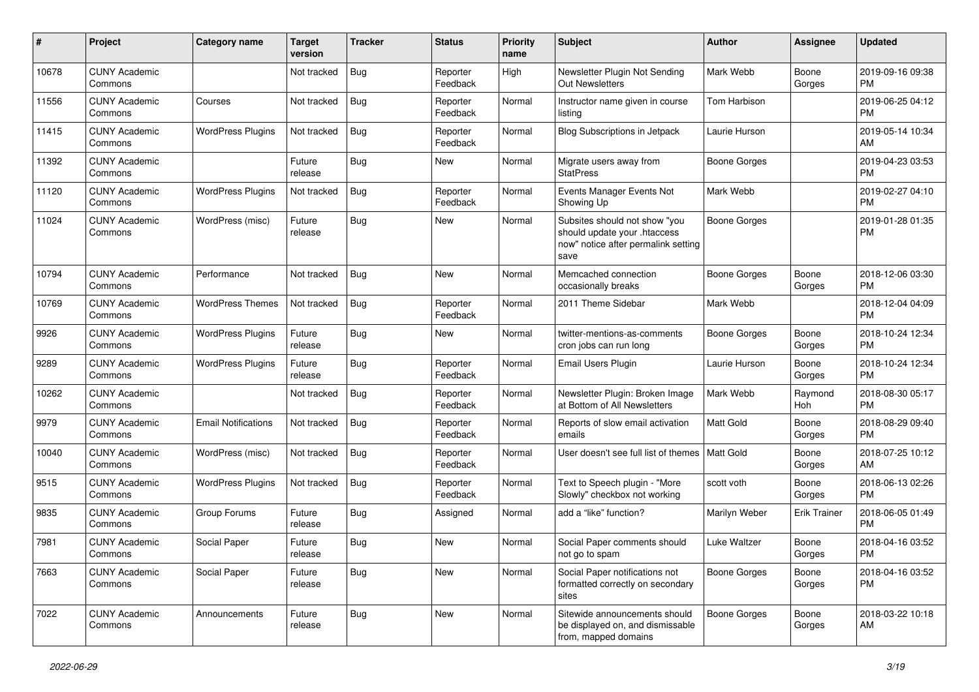| #     | Project                         | <b>Category name</b>       | <b>Target</b><br>version | <b>Tracker</b> | <b>Status</b>        | <b>Priority</b><br>name | Subject                                                                                                      | <b>Author</b>       | <b>Assignee</b>     | <b>Updated</b>                |
|-------|---------------------------------|----------------------------|--------------------------|----------------|----------------------|-------------------------|--------------------------------------------------------------------------------------------------------------|---------------------|---------------------|-------------------------------|
| 10678 | <b>CUNY Academic</b><br>Commons |                            | Not tracked              | Bug            | Reporter<br>Feedback | High                    | Newsletter Plugin Not Sending<br><b>Out Newsletters</b>                                                      | Mark Webb           | Boone<br>Gorges     | 2019-09-16 09:38<br>PM        |
| 11556 | <b>CUNY Academic</b><br>Commons | Courses                    | Not tracked              | <b>Bug</b>     | Reporter<br>Feedback | Normal                  | Instructor name given in course<br>listing                                                                   | Tom Harbison        |                     | 2019-06-25 04:12<br><b>PM</b> |
| 11415 | <b>CUNY Academic</b><br>Commons | <b>WordPress Plugins</b>   | Not tracked              | Bug            | Reporter<br>Feedback | Normal                  | <b>Blog Subscriptions in Jetpack</b>                                                                         | Laurie Hurson       |                     | 2019-05-14 10:34<br>AM        |
| 11392 | <b>CUNY Academic</b><br>Commons |                            | Future<br>release        | Bug            | New                  | Normal                  | Migrate users away from<br><b>StatPress</b>                                                                  | <b>Boone Gorges</b> |                     | 2019-04-23 03:53<br><b>PM</b> |
| 11120 | <b>CUNY Academic</b><br>Commons | <b>WordPress Plugins</b>   | Not tracked              | Bug            | Reporter<br>Feedback | Normal                  | Events Manager Events Not<br>Showing Up                                                                      | Mark Webb           |                     | 2019-02-27 04:10<br><b>PM</b> |
| 11024 | <b>CUNY Academic</b><br>Commons | WordPress (misc)           | Future<br>release        | Bug            | New                  | Normal                  | Subsites should not show "you<br>should update your .htaccess<br>now" notice after permalink setting<br>save | <b>Boone Gorges</b> |                     | 2019-01-28 01:35<br><b>PM</b> |
| 10794 | <b>CUNY Academic</b><br>Commons | Performance                | Not tracked              | Bug            | <b>New</b>           | Normal                  | Memcached connection<br>occasionally breaks                                                                  | <b>Boone Gorges</b> | Boone<br>Gorges     | 2018-12-06 03:30<br><b>PM</b> |
| 10769 | <b>CUNY Academic</b><br>Commons | <b>WordPress Themes</b>    | Not tracked              | <b>Bug</b>     | Reporter<br>Feedback | Normal                  | 2011 Theme Sidebar                                                                                           | Mark Webb           |                     | 2018-12-04 04:09<br><b>PM</b> |
| 9926  | <b>CUNY Academic</b><br>Commons | <b>WordPress Plugins</b>   | Future<br>release        | Bug            | New                  | Normal                  | twitter-mentions-as-comments<br>cron jobs can run long                                                       | <b>Boone Gorges</b> | Boone<br>Gorges     | 2018-10-24 12:34<br><b>PM</b> |
| 9289  | <b>CUNY Academic</b><br>Commons | <b>WordPress Plugins</b>   | Future<br>release        | Bug            | Reporter<br>Feedback | Normal                  | Email Users Plugin                                                                                           | Laurie Hurson       | Boone<br>Gorges     | 2018-10-24 12:34<br><b>PM</b> |
| 10262 | <b>CUNY Academic</b><br>Commons |                            | Not tracked              | Bug            | Reporter<br>Feedback | Normal                  | Newsletter Plugin: Broken Image<br>at Bottom of All Newsletters                                              | Mark Webb           | Raymond<br>Hoh      | 2018-08-30 05:17<br><b>PM</b> |
| 9979  | <b>CUNY Academic</b><br>Commons | <b>Email Notifications</b> | Not tracked              | Bug            | Reporter<br>Feedback | Normal                  | Reports of slow email activation<br>emails                                                                   | <b>Matt Gold</b>    | Boone<br>Gorges     | 2018-08-29 09:40<br><b>PM</b> |
| 10040 | <b>CUNY Academic</b><br>Commons | WordPress (misc)           | Not tracked              | Bug            | Reporter<br>Feedback | Normal                  | User doesn't see full list of themes                                                                         | Matt Gold           | Boone<br>Gorges     | 2018-07-25 10:12<br>AM        |
| 9515  | <b>CUNY Academic</b><br>Commons | <b>WordPress Plugins</b>   | Not tracked              | <b>Bug</b>     | Reporter<br>Feedback | Normal                  | Text to Speech plugin - "More<br>Slowly" checkbox not working                                                | scott voth          | Boone<br>Gorges     | 2018-06-13 02:26<br><b>PM</b> |
| 9835  | <b>CUNY Academic</b><br>Commons | Group Forums               | Future<br>release        | Bug            | Assigned             | Normal                  | add a "like" function?                                                                                       | Marilyn Weber       | <b>Erik Trainer</b> | 2018-06-05 01:49<br><b>PM</b> |
| 7981  | <b>CUNY Academic</b><br>Commons | Social Paper               | Future<br>release        | Bug            | New                  | Normal                  | Social Paper comments should<br>not go to spam                                                               | <b>Luke Waltzer</b> | Boone<br>Gorges     | 2018-04-16 03:52<br>PM        |
| 7663  | <b>CUNY Academic</b><br>Commons | Social Paper               | Future<br>release        | Bug            | New                  | Normal                  | Social Paper notifications not<br>formatted correctly on secondary<br>sites                                  | Boone Gorges        | Boone<br>Gorges     | 2018-04-16 03:52<br><b>PM</b> |
| 7022  | <b>CUNY Academic</b><br>Commons | Announcements              | Future<br>release        | Bug            | New                  | Normal                  | Sitewide announcements should<br>be displayed on, and dismissable<br>from, mapped domains                    | <b>Boone Gorges</b> | Boone<br>Gorges     | 2018-03-22 10:18<br>AM        |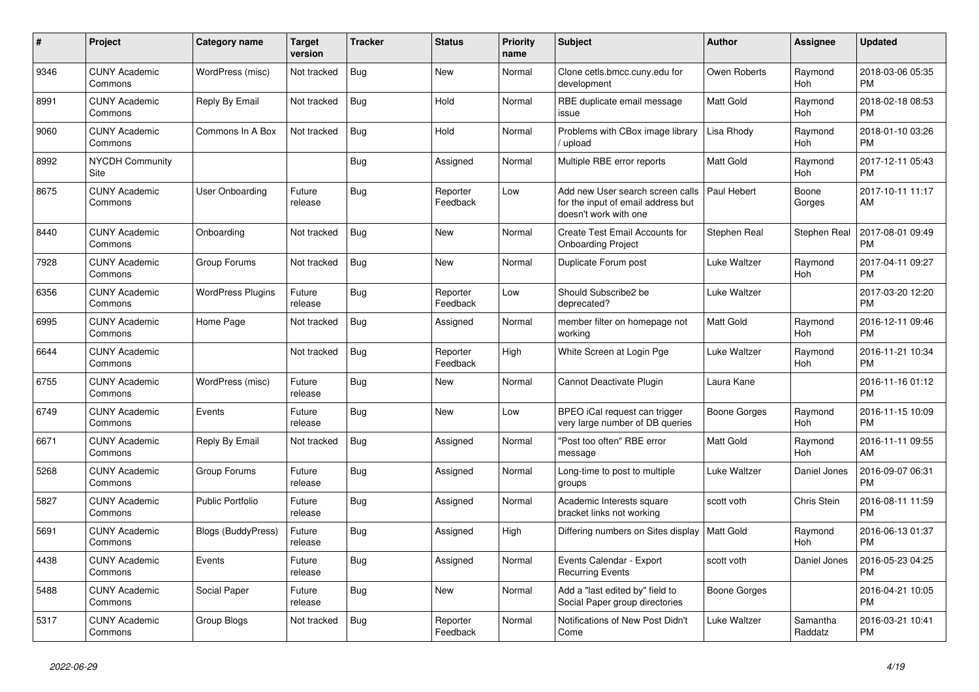| $\#$ | Project                         | Category name             | <b>Target</b><br>version | <b>Tracker</b> | <b>Status</b>        | <b>Priority</b><br>name | <b>Subject</b>                                                                                  | <b>Author</b>       | Assignee            | <b>Updated</b>                |
|------|---------------------------------|---------------------------|--------------------------|----------------|----------------------|-------------------------|-------------------------------------------------------------------------------------------------|---------------------|---------------------|-------------------------------|
| 9346 | <b>CUNY Academic</b><br>Commons | WordPress (misc)          | Not tracked              | <b>Bug</b>     | New                  | Normal                  | Clone cetls.bmcc.cuny.edu for<br>development                                                    | Owen Roberts        | Raymond<br>Hoh      | 2018-03-06 05:35<br><b>PM</b> |
| 8991 | <b>CUNY Academic</b><br>Commons | Reply By Email            | Not tracked              | Bug            | Hold                 | Normal                  | RBE duplicate email message<br>issue                                                            | Matt Gold           | Raymond<br>Hoh      | 2018-02-18 08:53<br><b>PM</b> |
| 9060 | <b>CUNY Academic</b><br>Commons | Commons In A Box          | Not tracked              | <b>Bug</b>     | Hold                 | Normal                  | Problems with CBox image library<br>upload                                                      | Lisa Rhody          | Raymond<br>Hoh      | 2018-01-10 03:26<br>PM        |
| 8992 | <b>NYCDH Community</b><br>Site  |                           |                          | <b>Bug</b>     | Assigned             | Normal                  | Multiple RBE error reports                                                                      | Matt Gold           | Raymond<br>Hoh      | 2017-12-11 05:43<br><b>PM</b> |
| 8675 | <b>CUNY Academic</b><br>Commons | <b>User Onboarding</b>    | Future<br>release        | Bug            | Reporter<br>Feedback | Low                     | Add new User search screen calls<br>for the input of email address but<br>doesn't work with one | Paul Hebert         | Boone<br>Gorges     | 2017-10-11 11:17<br>AM        |
| 8440 | <b>CUNY Academic</b><br>Commons | Onboarding                | Not tracked              | Bug            | <b>New</b>           | Normal                  | <b>Create Test Email Accounts for</b><br><b>Onboarding Project</b>                              | Stephen Real        | <b>Stephen Real</b> | 2017-08-01 09:49<br>PM        |
| 7928 | <b>CUNY Academic</b><br>Commons | Group Forums              | Not tracked              | <b>Bug</b>     | New                  | Normal                  | Duplicate Forum post                                                                            | Luke Waltzer        | Raymond<br>Hoh      | 2017-04-11 09:27<br>PM        |
| 6356 | <b>CUNY Academic</b><br>Commons | <b>WordPress Plugins</b>  | Future<br>release        | <b>Bug</b>     | Reporter<br>Feedback | Low                     | Should Subscribe2 be<br>deprecated?                                                             | <b>Luke Waltzer</b> |                     | 2017-03-20 12:20<br><b>PM</b> |
| 6995 | <b>CUNY Academic</b><br>Commons | Home Page                 | Not tracked              | Bug            | Assigned             | Normal                  | member filter on homepage not<br>working                                                        | Matt Gold           | Raymond<br>Hoh      | 2016-12-11 09:46<br>PM        |
| 6644 | <b>CUNY Academic</b><br>Commons |                           | Not tracked              | <b>Bug</b>     | Reporter<br>Feedback | High                    | White Screen at Login Pge                                                                       | Luke Waltzer        | Raymond<br>Hoh      | 2016-11-21 10:34<br>PM        |
| 6755 | <b>CUNY Academic</b><br>Commons | WordPress (misc)          | Future<br>release        | <b>Bug</b>     | New                  | Normal                  | Cannot Deactivate Plugin                                                                        | Laura Kane          |                     | 2016-11-16 01:12<br><b>PM</b> |
| 6749 | <b>CUNY Academic</b><br>Commons | Events                    | Future<br>release        | Bug            | <b>New</b>           | Low                     | BPEO iCal request can trigger<br>very large number of DB queries                                | Boone Gorges        | Raymond<br>Hoh      | 2016-11-15 10:09<br><b>PM</b> |
| 6671 | <b>CUNY Academic</b><br>Commons | Reply By Email            | Not tracked              | <b>Bug</b>     | Assigned             | Normal                  | "Post too often" RBE error<br>message                                                           | Matt Gold           | Raymond<br>Hoh      | 2016-11-11 09:55<br>AM        |
| 5268 | <b>CUNY Academic</b><br>Commons | Group Forums              | Future<br>release        | Bug            | Assigned             | Normal                  | Long-time to post to multiple<br>groups                                                         | Luke Waltzer        | Daniel Jones        | 2016-09-07 06:31<br><b>PM</b> |
| 5827 | <b>CUNY Academic</b><br>Commons | <b>Public Portfolio</b>   | Future<br>release        | Bug            | Assigned             | Normal                  | Academic Interests square<br>bracket links not working                                          | scott voth          | Chris Stein         | 2016-08-11 11:59<br>PM        |
| 5691 | <b>CUNY Academic</b><br>Commons | <b>Blogs (BuddyPress)</b> | Future<br>release        | <b>Bug</b>     | Assigned             | High                    | Differing numbers on Sites display                                                              | Matt Gold           | Raymond<br>Hoh      | 2016-06-13 01:37<br>PM        |
| 4438 | <b>CUNY Academic</b><br>Commons | Events                    | Future<br>release        | <b>Bug</b>     | Assigned             | Normal                  | Events Calendar - Export<br><b>Recurring Events</b>                                             | scott voth          | Daniel Jones        | 2016-05-23 04:25<br>PM        |
| 5488 | <b>CUNY Academic</b><br>Commons | Social Paper              | Future<br>release        | <b>Bug</b>     | <b>New</b>           | Normal                  | Add a "last edited by" field to<br>Social Paper group directories                               | Boone Gorges        |                     | 2016-04-21 10:05<br><b>PM</b> |
| 5317 | <b>CUNY Academic</b><br>Commons | Group Blogs               | Not tracked              | <b>Bug</b>     | Reporter<br>Feedback | Normal                  | Notifications of New Post Didn't<br>Come                                                        | <b>Luke Waltzer</b> | Samantha<br>Raddatz | 2016-03-21 10:41<br><b>PM</b> |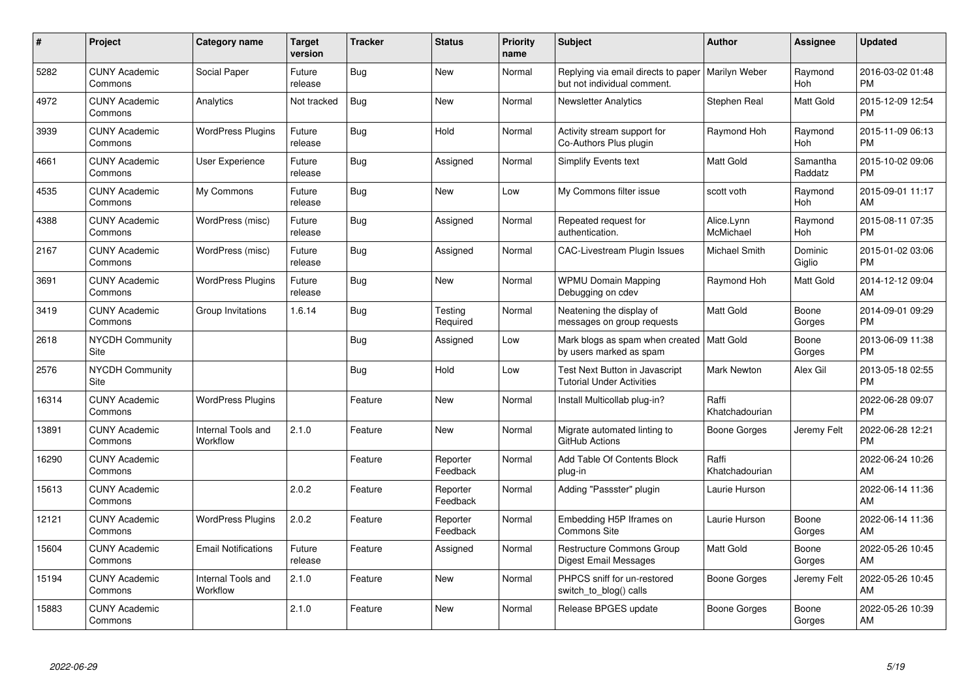| #     | Project                         | <b>Category name</b>           | Target<br>version | <b>Tracker</b> | <b>Status</b>        | <b>Priority</b><br>name | <b>Subject</b>                                                                     | <b>Author</b>           | <b>Assignee</b>     | <b>Updated</b>                |
|-------|---------------------------------|--------------------------------|-------------------|----------------|----------------------|-------------------------|------------------------------------------------------------------------------------|-------------------------|---------------------|-------------------------------|
| 5282  | <b>CUNY Academic</b><br>Commons | Social Paper                   | Future<br>release | Bug            | <b>New</b>           | Normal                  | Replying via email directs to paper   Marilyn Weber<br>but not individual comment. |                         | Raymond<br>Hoh      | 2016-03-02 01:48<br><b>PM</b> |
| 4972  | <b>CUNY Academic</b><br>Commons | Analytics                      | Not tracked       | Bug            | <b>New</b>           | Normal                  | <b>Newsletter Analytics</b>                                                        | Stephen Real            | Matt Gold           | 2015-12-09 12:54<br><b>PM</b> |
| 3939  | <b>CUNY Academic</b><br>Commons | <b>WordPress Plugins</b>       | Future<br>release | <b>Bug</b>     | Hold                 | Normal                  | Activity stream support for<br>Co-Authors Plus plugin                              | Raymond Hoh             | Raymond<br>Hoh      | 2015-11-09 06:13<br><b>PM</b> |
| 4661  | <b>CUNY Academic</b><br>Commons | User Experience                | Future<br>release | <b>Bug</b>     | Assigned             | Normal                  | Simplify Events text                                                               | <b>Matt Gold</b>        | Samantha<br>Raddatz | 2015-10-02 09:06<br><b>PM</b> |
| 4535  | <b>CUNY Academic</b><br>Commons | My Commons                     | Future<br>release | <b>Bug</b>     | <b>New</b>           | Low                     | My Commons filter issue                                                            | scott voth              | Raymond<br>Hoh      | 2015-09-01 11:17<br>AM        |
| 4388  | <b>CUNY Academic</b><br>Commons | WordPress (misc)               | Future<br>release | Bug            | Assigned             | Normal                  | Repeated request for<br>authentication.                                            | Alice.Lynn<br>McMichael | Raymond<br>Hoh      | 2015-08-11 07:35<br><b>PM</b> |
| 2167  | <b>CUNY Academic</b><br>Commons | WordPress (misc)               | Future<br>release | <b>Bug</b>     | Assigned             | Normal                  | CAC-Livestream Plugin Issues                                                       | <b>Michael Smith</b>    | Dominic<br>Giglio   | 2015-01-02 03:06<br><b>PM</b> |
| 3691  | <b>CUNY Academic</b><br>Commons | <b>WordPress Plugins</b>       | Future<br>release | <b>Bug</b>     | <b>New</b>           | Normal                  | <b>WPMU Domain Mapping</b><br>Debugging on cdev                                    | Raymond Hoh             | Matt Gold           | 2014-12-12 09:04<br>AM        |
| 3419  | <b>CUNY Academic</b><br>Commons | Group Invitations              | 1.6.14            | <b>Bug</b>     | Testing<br>Required  | Normal                  | Neatening the display of<br>messages on group requests                             | Matt Gold               | Boone<br>Gorges     | 2014-09-01 09:29<br><b>PM</b> |
| 2618  | <b>NYCDH Community</b><br>Site  |                                |                   | <b>Bug</b>     | Assigned             | Low                     | Mark blogs as spam when created<br>by users marked as spam                         | Matt Gold               | Boone<br>Gorges     | 2013-06-09 11:38<br><b>PM</b> |
| 2576  | <b>NYCDH Community</b><br>Site  |                                |                   | <b>Bug</b>     | Hold                 | Low                     | Test Next Button in Javascript<br><b>Tutorial Under Activities</b>                 | <b>Mark Newton</b>      | Alex Gil            | 2013-05-18 02:55<br><b>PM</b> |
| 16314 | <b>CUNY Academic</b><br>Commons | <b>WordPress Plugins</b>       |                   | Feature        | <b>New</b>           | Normal                  | Install Multicollab plug-in?                                                       | Raffi<br>Khatchadourian |                     | 2022-06-28 09:07<br><b>PM</b> |
| 13891 | <b>CUNY Academic</b><br>Commons | Internal Tools and<br>Workflow | 2.1.0             | Feature        | <b>New</b>           | Normal                  | Migrate automated linting to<br>GitHub Actions                                     | Boone Gorges            | Jeremy Felt         | 2022-06-28 12:21<br><b>PM</b> |
| 16290 | <b>CUNY Academic</b><br>Commons |                                |                   | Feature        | Reporter<br>Feedback | Normal                  | Add Table Of Contents Block<br>plug-in                                             | Raffi<br>Khatchadourian |                     | 2022-06-24 10:26<br>AM        |
| 15613 | <b>CUNY Academic</b><br>Commons |                                | 2.0.2             | Feature        | Reporter<br>Feedback | Normal                  | Adding "Passster" plugin                                                           | Laurie Hurson           |                     | 2022-06-14 11:36<br>AM        |
| 12121 | <b>CUNY Academic</b><br>Commons | <b>WordPress Plugins</b>       | 2.0.2             | Feature        | Reporter<br>Feedback | Normal                  | Embedding H5P Iframes on<br><b>Commons Site</b>                                    | Laurie Hurson           | Boone<br>Gorges     | 2022-06-14 11:36<br>AM        |
| 15604 | <b>CUNY Academic</b><br>Commons | <b>Email Notifications</b>     | Future<br>release | Feature        | Assigned             | Normal                  | <b>Restructure Commons Group</b><br>Digest Email Messages                          | Matt Gold               | Boone<br>Gorges     | 2022-05-26 10:45<br>AM        |
| 15194 | <b>CUNY Academic</b><br>Commons | Internal Tools and<br>Workflow | 2.1.0             | Feature        | <b>New</b>           | Normal                  | PHPCS sniff for un-restored<br>switch_to_blog() calls                              | Boone Gorges            | Jeremy Felt         | 2022-05-26 10:45<br>AM        |
| 15883 | <b>CUNY Academic</b><br>Commons |                                | 2.1.0             | Feature        | <b>New</b>           | Normal                  | Release BPGES update                                                               | Boone Gorges            | Boone<br>Gorges     | 2022-05-26 10:39<br>AM        |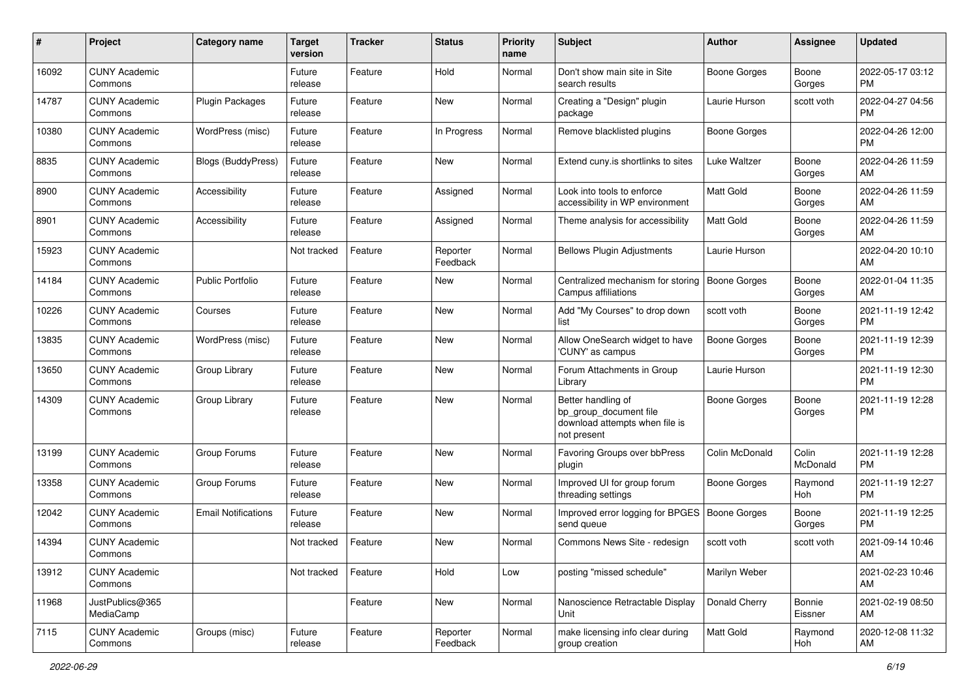| #     | Project                         | <b>Category name</b>       | <b>Target</b><br>version | <b>Tracker</b> | <b>Status</b>        | <b>Priority</b><br>name | <b>Subject</b>                                                                                | <b>Author</b>       | <b>Assignee</b>   | <b>Updated</b>                |
|-------|---------------------------------|----------------------------|--------------------------|----------------|----------------------|-------------------------|-----------------------------------------------------------------------------------------------|---------------------|-------------------|-------------------------------|
| 16092 | <b>CUNY Academic</b><br>Commons |                            | Future<br>release        | Feature        | Hold                 | Normal                  | Don't show main site in Site<br>search results                                                | Boone Gorges        | Boone<br>Gorges   | 2022-05-17 03:12<br><b>PM</b> |
| 14787 | <b>CUNY Academic</b><br>Commons | <b>Plugin Packages</b>     | Future<br>release        | Feature        | New                  | Normal                  | Creating a "Design" plugin<br>package                                                         | Laurie Hurson       | scott voth        | 2022-04-27 04:56<br><b>PM</b> |
| 10380 | <b>CUNY Academic</b><br>Commons | WordPress (misc)           | Future<br>release        | Feature        | In Progress          | Normal                  | Remove blacklisted plugins                                                                    | Boone Gorges        |                   | 2022-04-26 12:00<br><b>PM</b> |
| 8835  | <b>CUNY Academic</b><br>Commons | <b>Blogs (BuddyPress)</b>  | Future<br>release        | Feature        | <b>New</b>           | Normal                  | Extend cuny is shortlinks to sites                                                            | Luke Waltzer        | Boone<br>Gorges   | 2022-04-26 11:59<br>AM        |
| 8900  | <b>CUNY Academic</b><br>Commons | Accessibility              | Future<br>release        | Feature        | Assigned             | Normal                  | Look into tools to enforce<br>accessibility in WP environment                                 | <b>Matt Gold</b>    | Boone<br>Gorges   | 2022-04-26 11:59<br>AM        |
| 8901  | <b>CUNY Academic</b><br>Commons | Accessibility              | Future<br>release        | Feature        | Assigned             | Normal                  | Theme analysis for accessibility                                                              | <b>Matt Gold</b>    | Boone<br>Gorges   | 2022-04-26 11:59<br>AM        |
| 15923 | <b>CUNY Academic</b><br>Commons |                            | Not tracked              | Feature        | Reporter<br>Feedback | Normal                  | <b>Bellows Plugin Adjustments</b>                                                             | Laurie Hurson       |                   | 2022-04-20 10:10<br>AM        |
| 14184 | <b>CUNY Academic</b><br>Commons | <b>Public Portfolio</b>    | Future<br>release        | Feature        | <b>New</b>           | Normal                  | Centralized mechanism for storing<br>Campus affiliations                                      | <b>Boone Gorges</b> | Boone<br>Gorges   | 2022-01-04 11:35<br>AM        |
| 10226 | <b>CUNY Academic</b><br>Commons | Courses                    | Future<br>release        | Feature        | <b>New</b>           | Normal                  | Add "My Courses" to drop down<br>list                                                         | scott voth          | Boone<br>Gorges   | 2021-11-19 12:42<br><b>PM</b> |
| 13835 | <b>CUNY Academic</b><br>Commons | WordPress (misc)           | Future<br>release        | Feature        | <b>New</b>           | Normal                  | Allow OneSearch widget to have<br>'CUNY' as campus                                            | Boone Gorges        | Boone<br>Gorges   | 2021-11-19 12:39<br><b>PM</b> |
| 13650 | <b>CUNY Academic</b><br>Commons | Group Library              | Future<br>release        | Feature        | <b>New</b>           | Normal                  | Forum Attachments in Group<br>Library                                                         | Laurie Hurson       |                   | 2021-11-19 12:30<br><b>PM</b> |
| 14309 | <b>CUNY Academic</b><br>Commons | Group Library              | Future<br>release        | Feature        | <b>New</b>           | Normal                  | Better handling of<br>bp_group_document file<br>download attempts when file is<br>not present | Boone Gorges        | Boone<br>Gorges   | 2021-11-19 12:28<br><b>PM</b> |
| 13199 | <b>CUNY Academic</b><br>Commons | Group Forums               | Future<br>release        | Feature        | <b>New</b>           | Normal                  | Favoring Groups over bbPress<br>plugin                                                        | Colin McDonald      | Colin<br>McDonald | 2021-11-19 12:28<br><b>PM</b> |
| 13358 | <b>CUNY Academic</b><br>Commons | Group Forums               | Future<br>release        | Feature        | <b>New</b>           | Normal                  | Improved UI for group forum<br>threading settings                                             | <b>Boone Gorges</b> | Raymond<br>Hoh    | 2021-11-19 12:27<br><b>PM</b> |
| 12042 | <b>CUNY Academic</b><br>Commons | <b>Email Notifications</b> | Future<br>release        | Feature        | <b>New</b>           | Normal                  | Improved error logging for BPGES   Boone Gorges<br>send queue                                 |                     | Boone<br>Gorges   | 2021-11-19 12:25<br><b>PM</b> |
| 14394 | <b>CUNY Academic</b><br>Commons |                            | Not tracked              | Feature        | <b>New</b>           | Normal                  | Commons News Site - redesign                                                                  | scott voth          | scott voth        | 2021-09-14 10:46<br>AM        |
| 13912 | <b>CUNY Academic</b><br>Commons |                            | Not tracked              | Feature        | Hold                 | Low                     | posting "missed schedule"                                                                     | Marilyn Weber       |                   | 2021-02-23 10:46<br>AM        |
| 11968 | JustPublics@365<br>MediaCamp    |                            |                          | Feature        | New                  | Normal                  | Nanoscience Retractable Display<br>Unit                                                       | Donald Cherry       | Bonnie<br>Eissner | 2021-02-19 08:50<br>AM        |
| 7115  | <b>CUNY Academic</b><br>Commons | Groups (misc)              | Future<br>release        | Feature        | Reporter<br>Feedback | Normal                  | make licensing info clear during<br>group creation                                            | Matt Gold           | Raymond<br>Hoh    | 2020-12-08 11:32<br>AM        |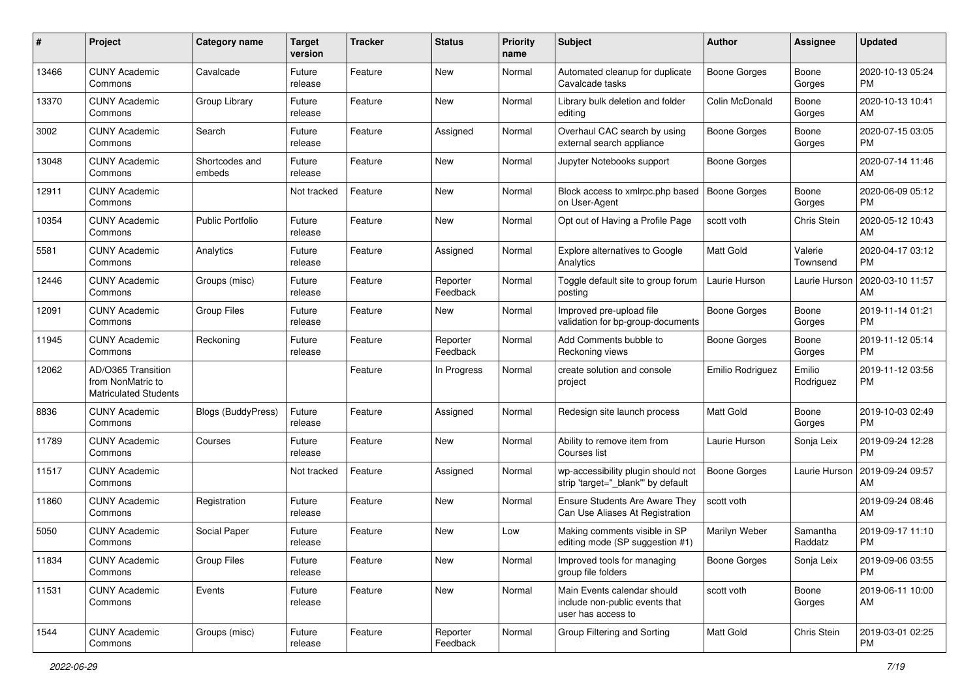| #     | Project                                                                 | <b>Category name</b>      | <b>Target</b><br>version | <b>Tracker</b> | <b>Status</b>        | <b>Priority</b><br>name | Subject                                                                             | Author              | <b>Assignee</b>     | <b>Updated</b>                |
|-------|-------------------------------------------------------------------------|---------------------------|--------------------------|----------------|----------------------|-------------------------|-------------------------------------------------------------------------------------|---------------------|---------------------|-------------------------------|
| 13466 | <b>CUNY Academic</b><br>Commons                                         | Cavalcade                 | Future<br>release        | Feature        | <b>New</b>           | Normal                  | Automated cleanup for duplicate<br>Cavalcade tasks                                  | <b>Boone Gorges</b> | Boone<br>Gorges     | 2020-10-13 05:24<br>PM        |
| 13370 | <b>CUNY Academic</b><br>Commons                                         | Group Library             | Future<br>release        | Feature        | <b>New</b>           | Normal                  | Library bulk deletion and folder<br>editing                                         | Colin McDonald      | Boone<br>Gorges     | 2020-10-13 10:41<br>AM        |
| 3002  | <b>CUNY Academic</b><br>Commons                                         | Search                    | Future<br>release        | Feature        | Assigned             | Normal                  | Overhaul CAC search by using<br>external search appliance                           | <b>Boone Gorges</b> | Boone<br>Gorges     | 2020-07-15 03:05<br><b>PM</b> |
| 13048 | <b>CUNY Academic</b><br>Commons                                         | Shortcodes and<br>embeds  | Future<br>release        | Feature        | <b>New</b>           | Normal                  | Jupyter Notebooks support                                                           | <b>Boone Gorges</b> |                     | 2020-07-14 11:46<br>AM        |
| 12911 | <b>CUNY Academic</b><br>Commons                                         |                           | Not tracked              | Feature        | <b>New</b>           | Normal                  | Block access to xmlrpc.php based<br>on User-Agent                                   | <b>Boone Gorges</b> | Boone<br>Gorges     | 2020-06-09 05:12<br><b>PM</b> |
| 10354 | <b>CUNY Academic</b><br>Commons                                         | <b>Public Portfolio</b>   | Future<br>release        | Feature        | <b>New</b>           | Normal                  | Opt out of Having a Profile Page                                                    | scott voth          | Chris Stein         | 2020-05-12 10:43<br>AM        |
| 5581  | <b>CUNY Academic</b><br>Commons                                         | Analytics                 | Future<br>release        | Feature        | Assigned             | Normal                  | Explore alternatives to Google<br>Analytics                                         | Matt Gold           | Valerie<br>Townsend | 2020-04-17 03:12<br><b>PM</b> |
| 12446 | <b>CUNY Academic</b><br>Commons                                         | Groups (misc)             | Future<br>release        | Feature        | Reporter<br>Feedback | Normal                  | Toggle default site to group forum<br>posting                                       | Laurie Hurson       | Laurie Hurson       | 2020-03-10 11:57<br>AM        |
| 12091 | <b>CUNY Academic</b><br>Commons                                         | <b>Group Files</b>        | Future<br>release        | Feature        | New                  | Normal                  | Improved pre-upload file<br>validation for bp-group-documents                       | <b>Boone Gorges</b> | Boone<br>Gorges     | 2019-11-14 01:21<br><b>PM</b> |
| 11945 | <b>CUNY Academic</b><br>Commons                                         | Reckoning                 | Future<br>release        | Feature        | Reporter<br>Feedback | Normal                  | Add Comments bubble to<br>Reckoning views                                           | <b>Boone Gorges</b> | Boone<br>Gorges     | 2019-11-12 05:14<br><b>PM</b> |
| 12062 | AD/O365 Transition<br>from NonMatric to<br><b>Matriculated Students</b> |                           |                          | Feature        | In Progress          | Normal                  | create solution and console<br>project                                              | Emilio Rodriguez    | Emilio<br>Rodriguez | 2019-11-12 03:56<br>РM        |
| 8836  | <b>CUNY Academic</b><br>Commons                                         | <b>Blogs (BuddyPress)</b> | Future<br>release        | Feature        | Assigned             | Normal                  | Redesign site launch process                                                        | <b>Matt Gold</b>    | Boone<br>Gorges     | 2019-10-03 02:49<br><b>PM</b> |
| 11789 | <b>CUNY Academic</b><br>Commons                                         | Courses                   | Future<br>release        | Feature        | <b>New</b>           | Normal                  | Ability to remove item from<br>Courses list                                         | Laurie Hurson       | Sonja Leix          | 2019-09-24 12:28<br><b>PM</b> |
| 11517 | <b>CUNY Academic</b><br>Commons                                         |                           | Not tracked              | Feature        | Assigned             | Normal                  | wp-accessibility plugin should not<br>strip 'target=" blank" by default             | <b>Boone Gorges</b> | Laurie Hurson       | 2019-09-24 09:57<br>AM        |
| 11860 | <b>CUNY Academic</b><br>Commons                                         | Registration              | Future<br>release        | Feature        | <b>New</b>           | Normal                  | <b>Ensure Students Are Aware They</b><br>Can Use Aliases At Registration            | scott voth          |                     | 2019-09-24 08:46<br>AM        |
| 5050  | <b>CUNY Academic</b><br>Commons                                         | Social Paper              | Future<br>release        | Feature        | <b>New</b>           | Low                     | Making comments visible in SP<br>editing mode (SP suggestion #1)                    | Marilyn Weber       | Samantha<br>Raddatz | 2019-09-17 11:10<br><b>PM</b> |
| 11834 | <b>CUNY Academic</b><br>Commons                                         | Group Files               | Future<br>release        | Feature        | New                  | Normal                  | Improved tools for managing<br>group file folders                                   | <b>Boone Gorges</b> | Sonja Leix          | 2019-09-06 03:55<br><b>PM</b> |
| 11531 | <b>CUNY Academic</b><br>Commons                                         | Events                    | Future<br>release        | Feature        | New                  | Normal                  | Main Events calendar should<br>include non-public events that<br>user has access to | scott voth          | Boone<br>Gorges     | 2019-06-11 10:00<br>AM        |
| 1544  | <b>CUNY Academic</b><br>Commons                                         | Groups (misc)             | Future<br>release        | Feature        | Reporter<br>Feedback | Normal                  | Group Filtering and Sorting                                                         | Matt Gold           | Chris Stein         | 2019-03-01 02:25<br><b>PM</b> |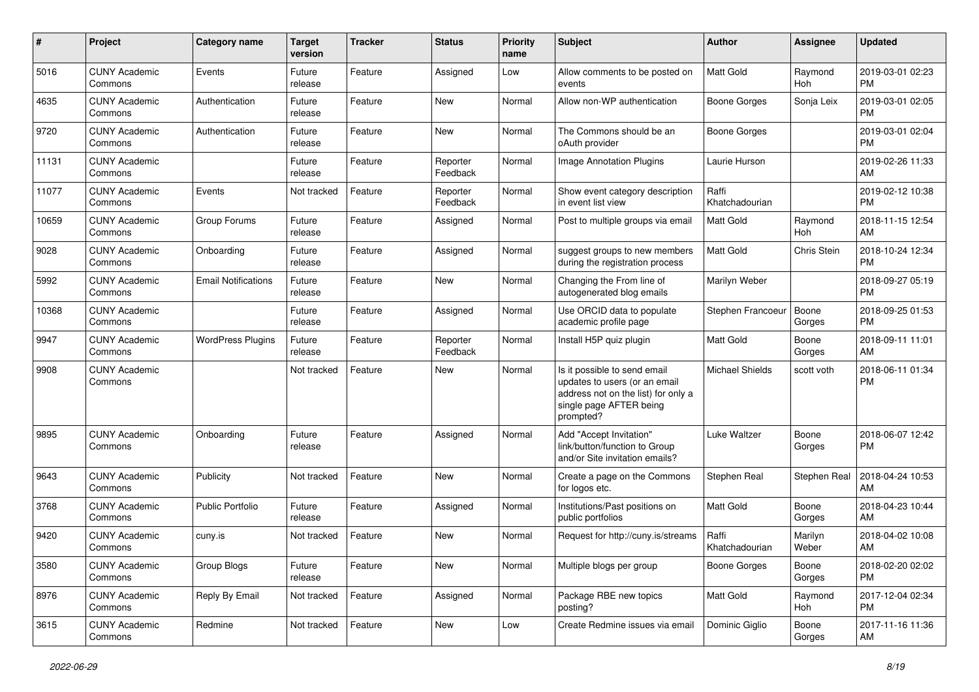| #     | Project                         | Category name              | <b>Target</b><br>version | <b>Tracker</b> | <b>Status</b>        | <b>Priority</b><br>name | Subject                                                                                                                                      | <b>Author</b>           | <b>Assignee</b>  | <b>Updated</b>                |
|-------|---------------------------------|----------------------------|--------------------------|----------------|----------------------|-------------------------|----------------------------------------------------------------------------------------------------------------------------------------------|-------------------------|------------------|-------------------------------|
| 5016  | <b>CUNY Academic</b><br>Commons | Events                     | Future<br>release        | Feature        | Assigned             | Low                     | Allow comments to be posted on<br>events                                                                                                     | <b>Matt Gold</b>        | Raymond<br>Hoh   | 2019-03-01 02:23<br><b>PM</b> |
| 4635  | <b>CUNY Academic</b><br>Commons | Authentication             | Future<br>release        | Feature        | New                  | Normal                  | Allow non-WP authentication                                                                                                                  | <b>Boone Gorges</b>     | Sonja Leix       | 2019-03-01 02:05<br><b>PM</b> |
| 9720  | <b>CUNY Academic</b><br>Commons | Authentication             | Future<br>release        | Feature        | New                  | Normal                  | The Commons should be an<br>oAuth provider                                                                                                   | <b>Boone Gorges</b>     |                  | 2019-03-01 02:04<br><b>PM</b> |
| 11131 | <b>CUNY Academic</b><br>Commons |                            | Future<br>release        | Feature        | Reporter<br>Feedback | Normal                  | <b>Image Annotation Plugins</b>                                                                                                              | Laurie Hurson           |                  | 2019-02-26 11:33<br>AM        |
| 11077 | <b>CUNY Academic</b><br>Commons | Events                     | Not tracked              | Feature        | Reporter<br>Feedback | Normal                  | Show event category description<br>in event list view                                                                                        | Raffi<br>Khatchadourian |                  | 2019-02-12 10:38<br><b>PM</b> |
| 10659 | <b>CUNY Academic</b><br>Commons | Group Forums               | Future<br>release        | Feature        | Assigned             | Normal                  | Post to multiple groups via email                                                                                                            | Matt Gold               | Raymond<br>Hoh   | 2018-11-15 12:54<br>AM        |
| 9028  | <b>CUNY Academic</b><br>Commons | Onboarding                 | Future<br>release        | Feature        | Assigned             | Normal                  | suggest groups to new members<br>during the registration process                                                                             | Matt Gold               | Chris Stein      | 2018-10-24 12:34<br><b>PM</b> |
| 5992  | <b>CUNY Academic</b><br>Commons | <b>Email Notifications</b> | Future<br>release        | Feature        | <b>New</b>           | Normal                  | Changing the From line of<br>autogenerated blog emails                                                                                       | Marilyn Weber           |                  | 2018-09-27 05:19<br><b>PM</b> |
| 10368 | <b>CUNY Academic</b><br>Commons |                            | Future<br>release        | Feature        | Assigned             | Normal                  | Use ORCID data to populate<br>academic profile page                                                                                          | Stephen Francoeur       | Boone<br>Gorges  | 2018-09-25 01:53<br><b>PM</b> |
| 9947  | <b>CUNY Academic</b><br>Commons | <b>WordPress Plugins</b>   | Future<br>release        | Feature        | Reporter<br>Feedback | Normal                  | Install H5P quiz plugin                                                                                                                      | <b>Matt Gold</b>        | Boone<br>Gorges  | 2018-09-11 11:01<br>AM        |
| 9908  | <b>CUNY Academic</b><br>Commons |                            | Not tracked              | Feature        | New                  | Normal                  | Is it possible to send email<br>updates to users (or an email<br>address not on the list) for only a<br>single page AFTER being<br>prompted? | <b>Michael Shields</b>  | scott voth       | 2018-06-11 01:34<br><b>PM</b> |
| 9895  | <b>CUNY Academic</b><br>Commons | Onboarding                 | Future<br>release        | Feature        | Assigned             | Normal                  | Add "Accept Invitation"<br>link/button/function to Group<br>and/or Site invitation emails?                                                   | Luke Waltzer            | Boone<br>Gorges  | 2018-06-07 12:42<br><b>PM</b> |
| 9643  | <b>CUNY Academic</b><br>Commons | Publicity                  | Not tracked              | Feature        | <b>New</b>           | Normal                  | Create a page on the Commons<br>for logos etc.                                                                                               | Stephen Real            | Stephen Real     | 2018-04-24 10:53<br>AM        |
| 3768  | <b>CUNY Academic</b><br>Commons | <b>Public Portfolio</b>    | Future<br>release        | Feature        | Assigned             | Normal                  | Institutions/Past positions on<br>public portfolios                                                                                          | <b>Matt Gold</b>        | Boone<br>Gorges  | 2018-04-23 10:44<br>AM        |
| 9420  | <b>CUNY Academic</b><br>Commons | cuny.is                    | Not tracked              | Feature        | New                  | Normal                  | Request for http://cuny.is/streams                                                                                                           | Raffi<br>Khatchadourian | Marilyn<br>Weber | 2018-04-02 10:08<br>AM        |
| 3580  | <b>CUNY Academic</b><br>Commons | Group Blogs                | Future<br>release        | Feature        | New                  | Normal                  | Multiple blogs per group                                                                                                                     | <b>Boone Gorges</b>     | Boone<br>Gorges  | 2018-02-20 02:02<br><b>PM</b> |
| 8976  | <b>CUNY Academic</b><br>Commons | Reply By Email             | Not tracked              | Feature        | Assigned             | Normal                  | Package RBE new topics<br>posting?                                                                                                           | Matt Gold               | Raymond<br>Hoh   | 2017-12-04 02:34<br>PM        |
| 3615  | <b>CUNY Academic</b><br>Commons | Redmine                    | Not tracked              | Feature        | New                  | Low                     | Create Redmine issues via email                                                                                                              | Dominic Giglio          | Boone<br>Gorges  | 2017-11-16 11:36<br>AM        |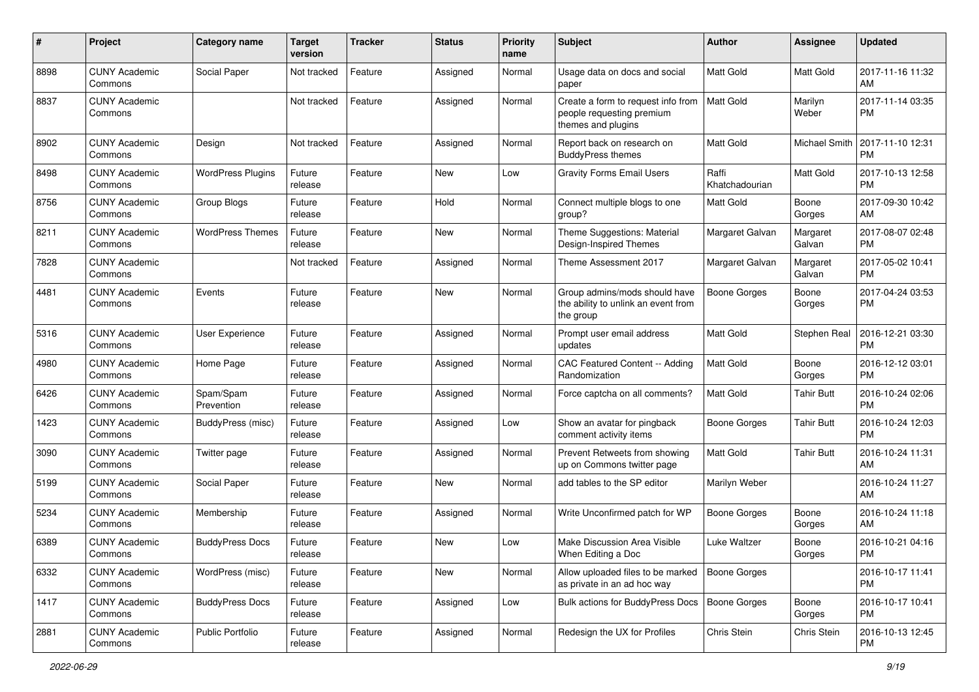| #    | Project                         | Category name            | <b>Target</b><br>version | <b>Tracker</b> | <b>Status</b> | <b>Priority</b><br>name | Subject                                                                               | <b>Author</b>           | <b>Assignee</b>    | <b>Updated</b>                |
|------|---------------------------------|--------------------------|--------------------------|----------------|---------------|-------------------------|---------------------------------------------------------------------------------------|-------------------------|--------------------|-------------------------------|
| 8898 | <b>CUNY Academic</b><br>Commons | Social Paper             | Not tracked              | Feature        | Assigned      | Normal                  | Usage data on docs and social<br>paper                                                | <b>Matt Gold</b>        | Matt Gold          | 2017-11-16 11:32<br>AM        |
| 8837 | <b>CUNY Academic</b><br>Commons |                          | Not tracked              | Feature        | Assigned      | Normal                  | Create a form to request info from<br>people requesting premium<br>themes and plugins | <b>Matt Gold</b>        | Marilyn<br>Weber   | 2017-11-14 03:35<br><b>PM</b> |
| 8902 | <b>CUNY Academic</b><br>Commons | Design                   | Not tracked              | Feature        | Assigned      | Normal                  | Report back on research on<br><b>BuddyPress themes</b>                                | Matt Gold               | Michael Smith      | 2017-11-10 12:31<br><b>PM</b> |
| 8498 | <b>CUNY Academic</b><br>Commons | <b>WordPress Plugins</b> | Future<br>release        | Feature        | New           | Low                     | <b>Gravity Forms Email Users</b>                                                      | Raffi<br>Khatchadourian | <b>Matt Gold</b>   | 2017-10-13 12:58<br><b>PM</b> |
| 8756 | <b>CUNY Academic</b><br>Commons | Group Blogs              | Future<br>release        | Feature        | Hold          | Normal                  | Connect multiple blogs to one<br>group?                                               | Matt Gold               | Boone<br>Gorges    | 2017-09-30 10:42<br>AM        |
| 8211 | <b>CUNY Academic</b><br>Commons | <b>WordPress Themes</b>  | Future<br>release        | Feature        | <b>New</b>    | Normal                  | Theme Suggestions: Material<br>Design-Inspired Themes                                 | Margaret Galvan         | Margaret<br>Galvan | 2017-08-07 02:48<br><b>PM</b> |
| 7828 | <b>CUNY Academic</b><br>Commons |                          | Not tracked              | Feature        | Assigned      | Normal                  | Theme Assessment 2017                                                                 | Margaret Galvan         | Margaret<br>Galvan | 2017-05-02 10:41<br><b>PM</b> |
| 4481 | <b>CUNY Academic</b><br>Commons | Events                   | Future<br>release        | Feature        | New           | Normal                  | Group admins/mods should have<br>the ability to unlink an event from<br>the group     | Boone Gorges            | Boone<br>Gorges    | 2017-04-24 03:53<br><b>PM</b> |
| 5316 | <b>CUNY Academic</b><br>Commons | User Experience          | Future<br>release        | Feature        | Assigned      | Normal                  | Prompt user email address<br>updates                                                  | Matt Gold               | Stephen Real       | 2016-12-21 03:30<br><b>PM</b> |
| 4980 | <b>CUNY Academic</b><br>Commons | Home Page                | Future<br>release        | Feature        | Assigned      | Normal                  | CAC Featured Content -- Adding<br>Randomization                                       | <b>Matt Gold</b>        | Boone<br>Gorges    | 2016-12-12 03:01<br><b>PM</b> |
| 6426 | <b>CUNY Academic</b><br>Commons | Spam/Spam<br>Prevention  | Future<br>release        | Feature        | Assigned      | Normal                  | Force captcha on all comments?                                                        | Matt Gold               | <b>Tahir Butt</b>  | 2016-10-24 02:06<br><b>PM</b> |
| 1423 | <b>CUNY Academic</b><br>Commons | BuddyPress (misc)        | Future<br>release        | Feature        | Assigned      | Low                     | Show an avatar for pingback<br>comment activity items                                 | Boone Gorges            | <b>Tahir Butt</b>  | 2016-10-24 12:03<br><b>PM</b> |
| 3090 | <b>CUNY Academic</b><br>Commons | Twitter page             | Future<br>release        | Feature        | Assigned      | Normal                  | Prevent Retweets from showing<br>up on Commons twitter page                           | Matt Gold               | <b>Tahir Butt</b>  | 2016-10-24 11:31<br>AM        |
| 5199 | <b>CUNY Academic</b><br>Commons | Social Paper             | Future<br>release        | Feature        | <b>New</b>    | Normal                  | add tables to the SP editor                                                           | Marilyn Weber           |                    | 2016-10-24 11:27<br>AM        |
| 5234 | <b>CUNY Academic</b><br>Commons | Membership               | Future<br>release        | Feature        | Assigned      | Normal                  | Write Unconfirmed patch for WP                                                        | <b>Boone Gorges</b>     | Boone<br>Gorges    | 2016-10-24 11:18<br>AM        |
| 6389 | <b>CUNY Academic</b><br>Commons | <b>BuddyPress Docs</b>   | Future<br>release        | Feature        | New           | Low                     | Make Discussion Area Visible<br>When Editing a Doc                                    | Luke Waltzer            | Boone<br>Gorges    | 2016-10-21 04:16<br>PM        |
| 6332 | <b>CUNY Academic</b><br>Commons | WordPress (misc)         | Future<br>release        | Feature        | New           | Normal                  | Allow uploaded files to be marked<br>as private in an ad hoc way                      | <b>Boone Gorges</b>     |                    | 2016-10-17 11:41<br><b>PM</b> |
| 1417 | <b>CUNY Academic</b><br>Commons | <b>BuddyPress Docs</b>   | Future<br>release        | Feature        | Assigned      | Low                     | Bulk actions for BuddyPress Docs                                                      | Boone Gorges            | Boone<br>Gorges    | 2016-10-17 10:41<br><b>PM</b> |
| 2881 | <b>CUNY Academic</b><br>Commons | Public Portfolio         | Future<br>release        | Feature        | Assigned      | Normal                  | Redesign the UX for Profiles                                                          | Chris Stein             | Chris Stein        | 2016-10-13 12:45<br>PM        |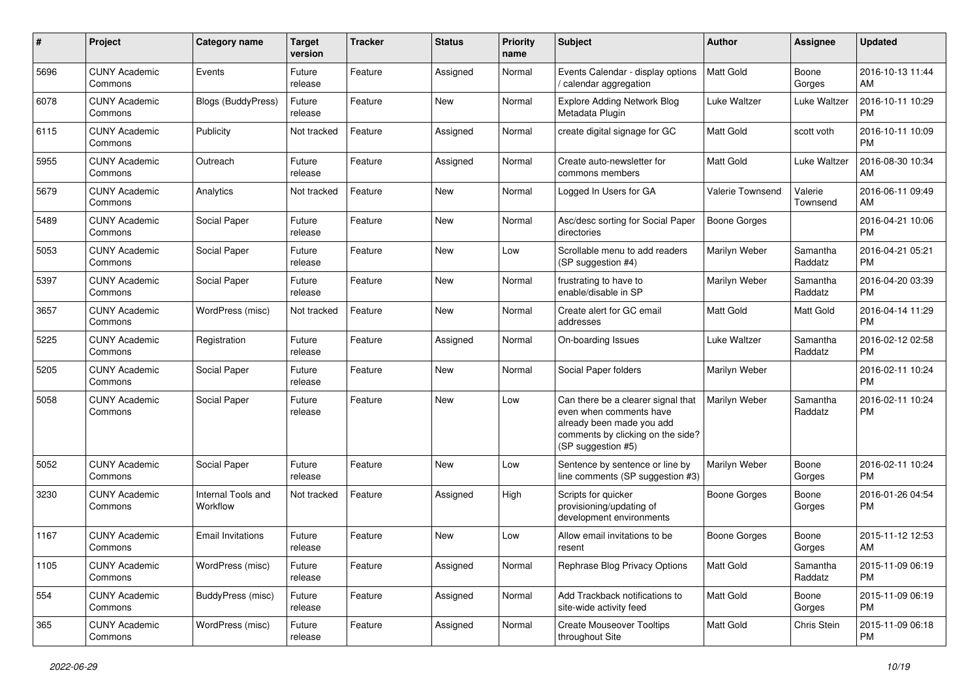| #    | Project                         | Category name                  | <b>Target</b><br>version | <b>Tracker</b> | <b>Status</b> | <b>Priority</b><br>name | Subject                                                                                                                                               | <b>Author</b>       | <b>Assignee</b>     | <b>Updated</b>                |
|------|---------------------------------|--------------------------------|--------------------------|----------------|---------------|-------------------------|-------------------------------------------------------------------------------------------------------------------------------------------------------|---------------------|---------------------|-------------------------------|
| 5696 | <b>CUNY Academic</b><br>Commons | Events                         | Future<br>release        | Feature        | Assigned      | Normal                  | Events Calendar - display options<br>/ calendar aggregation                                                                                           | <b>Matt Gold</b>    | Boone<br>Gorges     | 2016-10-13 11:44<br>AM        |
| 6078 | <b>CUNY Academic</b><br>Commons | Blogs (BuddyPress)             | Future<br>release        | Feature        | New           | Normal                  | <b>Explore Adding Network Blog</b><br>Metadata Plugin                                                                                                 | <b>Luke Waltzer</b> | <b>Luke Waltzer</b> | 2016-10-11 10:29<br><b>PM</b> |
| 6115 | <b>CUNY Academic</b><br>Commons | Publicity                      | Not tracked              | Feature        | Assigned      | Normal                  | create digital signage for GC                                                                                                                         | Matt Gold           | scott voth          | 2016-10-11 10:09<br><b>PM</b> |
| 5955 | <b>CUNY Academic</b><br>Commons | Outreach                       | Future<br>release        | Feature        | Assigned      | Normal                  | Create auto-newsletter for<br>commons members                                                                                                         | Matt Gold           | <b>Luke Waltzer</b> | 2016-08-30 10:34<br>AM        |
| 5679 | <b>CUNY Academic</b><br>Commons | Analytics                      | Not tracked              | Feature        | New           | Normal                  | Logged In Users for GA                                                                                                                                | Valerie Townsend    | Valerie<br>Townsend | 2016-06-11 09:49<br>AM        |
| 5489 | <b>CUNY Academic</b><br>Commons | Social Paper                   | Future<br>release        | Feature        | <b>New</b>    | Normal                  | Asc/desc sorting for Social Paper<br>directories                                                                                                      | <b>Boone Gorges</b> |                     | 2016-04-21 10:06<br><b>PM</b> |
| 5053 | <b>CUNY Academic</b><br>Commons | Social Paper                   | Future<br>release        | Feature        | New           | Low                     | Scrollable menu to add readers<br>(SP suggestion #4)                                                                                                  | Marilyn Weber       | Samantha<br>Raddatz | 2016-04-21 05:21<br><b>PM</b> |
| 5397 | <b>CUNY Academic</b><br>Commons | Social Paper                   | Future<br>release        | Feature        | <b>New</b>    | Normal                  | frustrating to have to<br>enable/disable in SP                                                                                                        | Marilyn Weber       | Samantha<br>Raddatz | 2016-04-20 03:39<br><b>PM</b> |
| 3657 | <b>CUNY Academic</b><br>Commons | WordPress (misc)               | Not tracked              | Feature        | New           | Normal                  | Create alert for GC email<br>addresses                                                                                                                | Matt Gold           | Matt Gold           | 2016-04-14 11:29<br><b>PM</b> |
| 5225 | <b>CUNY Academic</b><br>Commons | Registration                   | Future<br>release        | Feature        | Assigned      | Normal                  | On-boarding Issues                                                                                                                                    | Luke Waltzer        | Samantha<br>Raddatz | 2016-02-12 02:58<br><b>PM</b> |
| 5205 | <b>CUNY Academic</b><br>Commons | Social Paper                   | Future<br>release        | Feature        | New           | Normal                  | Social Paper folders                                                                                                                                  | Marilyn Weber       |                     | 2016-02-11 10:24<br><b>PM</b> |
| 5058 | <b>CUNY Academic</b><br>Commons | Social Paper                   | Future<br>release        | Feature        | New           | Low                     | Can there be a clearer signal that<br>even when comments have<br>already been made you add<br>comments by clicking on the side?<br>(SP suggestion #5) | Marilyn Weber       | Samantha<br>Raddatz | 2016-02-11 10:24<br><b>PM</b> |
| 5052 | <b>CUNY Academic</b><br>Commons | Social Paper                   | Future<br>release        | Feature        | New           | Low                     | Sentence by sentence or line by<br>line comments (SP suggestion #3)                                                                                   | Marilyn Weber       | Boone<br>Gorges     | 2016-02-11 10:24<br><b>PM</b> |
| 3230 | <b>CUNY Academic</b><br>Commons | Internal Tools and<br>Workflow | Not tracked              | Feature        | Assigned      | High                    | Scripts for quicker<br>provisioning/updating of<br>development environments                                                                           | Boone Gorges        | Boone<br>Gorges     | 2016-01-26 04:54<br><b>PM</b> |
| 1167 | <b>CUNY Academic</b><br>Commons | <b>Email Invitations</b>       | Future<br>release        | Feature        | <b>New</b>    | Low                     | Allow email invitations to be<br>resent                                                                                                               | <b>Boone Gorges</b> | Boone<br>Gorges     | 2015-11-12 12:53<br>AM        |
| 1105 | <b>CUNY Academic</b><br>Commons | WordPress (misc)               | Future<br>release        | Feature        | Assigned      | Normal                  | Rephrase Blog Privacy Options                                                                                                                         | Matt Gold           | Samantha<br>Raddatz | 2015-11-09 06:19<br><b>PM</b> |
| 554  | <b>CUNY Academic</b><br>Commons | <b>BuddyPress (misc)</b>       | Future<br>release        | Feature        | Assigned      | Normal                  | Add Trackback notifications to<br>site-wide activity feed                                                                                             | Matt Gold           | Boone<br>Gorges     | 2015-11-09 06:19<br><b>PM</b> |
| 365  | <b>CUNY Academic</b><br>Commons | WordPress (misc)               | Future<br>release        | Feature        | Assigned      | Normal                  | <b>Create Mouseover Tooltips</b><br>throughout Site                                                                                                   | Matt Gold           | Chris Stein         | 2015-11-09 06:18<br><b>PM</b> |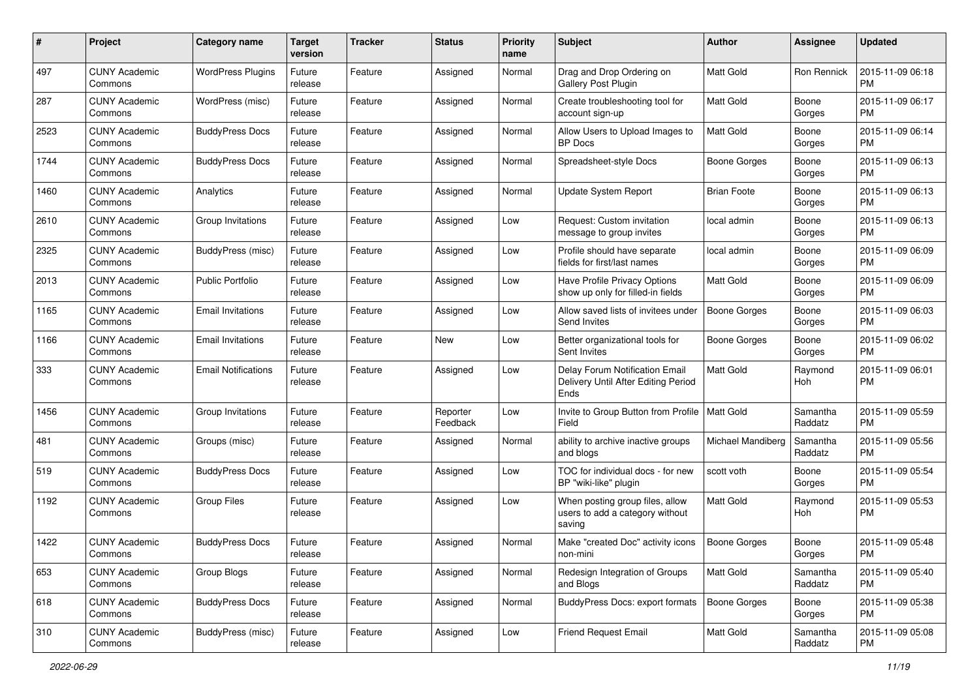| #    | Project                         | <b>Category name</b>       | <b>Target</b><br>version | <b>Tracker</b> | <b>Status</b>        | <b>Priority</b><br>name | Subject                                                                       | <b>Author</b>       | Assignee            | <b>Updated</b>                |
|------|---------------------------------|----------------------------|--------------------------|----------------|----------------------|-------------------------|-------------------------------------------------------------------------------|---------------------|---------------------|-------------------------------|
| 497  | <b>CUNY Academic</b><br>Commons | <b>WordPress Plugins</b>   | Future<br>release        | Feature        | Assigned             | Normal                  | Drag and Drop Ordering on<br>Gallery Post Plugin                              | <b>Matt Gold</b>    | Ron Rennick         | 2015-11-09 06:18<br><b>PM</b> |
| 287  | <b>CUNY Academic</b><br>Commons | WordPress (misc)           | Future<br>release        | Feature        | Assigned             | Normal                  | Create troubleshooting tool for<br>account sign-up                            | Matt Gold           | Boone<br>Gorges     | 2015-11-09 06:17<br><b>PM</b> |
| 2523 | CUNY Academic<br>Commons        | <b>BuddyPress Docs</b>     | Future<br>release        | Feature        | Assigned             | Normal                  | Allow Users to Upload Images to<br><b>BP</b> Docs                             | Matt Gold           | Boone<br>Gorges     | 2015-11-09 06:14<br><b>PM</b> |
| 1744 | <b>CUNY Academic</b><br>Commons | <b>BuddyPress Docs</b>     | Future<br>release        | Feature        | Assigned             | Normal                  | Spreadsheet-style Docs                                                        | Boone Gorges        | Boone<br>Gorges     | 2015-11-09 06:13<br><b>PM</b> |
| 1460 | CUNY Academic<br>Commons        | Analytics                  | Future<br>release        | Feature        | Assigned             | Normal                  | <b>Update System Report</b>                                                   | <b>Brian Foote</b>  | Boone<br>Gorges     | 2015-11-09 06:13<br><b>PM</b> |
| 2610 | <b>CUNY Academic</b><br>Commons | Group Invitations          | Future<br>release        | Feature        | Assigned             | Low                     | Request: Custom invitation<br>message to group invites                        | local admin         | Boone<br>Gorges     | 2015-11-09 06:13<br><b>PM</b> |
| 2325 | <b>CUNY Academic</b><br>Commons | <b>BuddyPress</b> (misc)   | Future<br>release        | Feature        | Assigned             | Low                     | Profile should have separate<br>fields for first/last names                   | local admin         | Boone<br>Gorges     | 2015-11-09 06:09<br><b>PM</b> |
| 2013 | <b>CUNY Academic</b><br>Commons | <b>Public Portfolio</b>    | Future<br>release        | Feature        | Assigned             | Low                     | Have Profile Privacy Options<br>show up only for filled-in fields             | <b>Matt Gold</b>    | Boone<br>Gorges     | 2015-11-09 06:09<br><b>PM</b> |
| 1165 | <b>CUNY Academic</b><br>Commons | <b>Email Invitations</b>   | Future<br>release        | Feature        | Assigned             | Low                     | Allow saved lists of invitees under<br>Send Invites                           | <b>Boone Gorges</b> | Boone<br>Gorges     | 2015-11-09 06:03<br><b>PM</b> |
| 1166 | CUNY Academic<br>Commons        | <b>Email Invitations</b>   | Future<br>release        | Feature        | New                  | Low                     | Better organizational tools for<br>Sent Invites                               | Boone Gorges        | Boone<br>Gorges     | 2015-11-09 06:02<br><b>PM</b> |
| 333  | <b>CUNY Academic</b><br>Commons | <b>Email Notifications</b> | Future<br>release        | Feature        | Assigned             | Low                     | Delay Forum Notification Email<br>Delivery Until After Editing Period<br>Ends | <b>Matt Gold</b>    | Raymond<br>Hoh      | 2015-11-09 06:01<br><b>PM</b> |
| 1456 | <b>CUNY Academic</b><br>Commons | Group Invitations          | Future<br>release        | Feature        | Reporter<br>Feedback | Low                     | Invite to Group Button from Profile   Matt Gold<br>Field                      |                     | Samantha<br>Raddatz | 2015-11-09 05:59<br><b>PM</b> |
| 481  | <b>CUNY Academic</b><br>Commons | Groups (misc)              | Future<br>release        | Feature        | Assigned             | Normal                  | ability to archive inactive groups<br>and blogs                               | Michael Mandiberg   | Samantha<br>Raddatz | 2015-11-09 05:56<br><b>PM</b> |
| 519  | <b>CUNY Academic</b><br>Commons | <b>BuddyPress Docs</b>     | Future<br>release        | Feature        | Assigned             | Low                     | TOC for individual docs - for new<br>BP "wiki-like" plugin                    | scott voth          | Boone<br>Gorges     | 2015-11-09 05:54<br><b>PM</b> |
| 1192 | CUNY Academic<br>Commons        | <b>Group Files</b>         | Future<br>release        | Feature        | Assigned             | Low                     | When posting group files, allow<br>users to add a category without<br>saving  | Matt Gold           | Raymond<br>Hoh      | 2015-11-09 05:53<br><b>PM</b> |
| 1422 | CUNY Academic<br>Commons        | <b>BuddyPress Docs</b>     | Future<br>release        | Feature        | Assigned             | Normal                  | Make "created Doc" activity icons<br>non-mini                                 | <b>Boone Gorges</b> | Boone<br>Gorges     | 2015-11-09 05:48<br><b>PM</b> |
| 653  | <b>CUNY Academic</b><br>Commons | Group Blogs                | Future<br>release        | Feature        | Assigned             | Normal                  | Redesign Integration of Groups<br>and Blogs                                   | <b>Matt Gold</b>    | Samantha<br>Raddatz | 2015-11-09 05:40<br>PM        |
| 618  | <b>CUNY Academic</b><br>Commons | <b>BuddyPress Docs</b>     | Future<br>release        | Feature        | Assigned             | Normal                  | BuddyPress Docs: export formats                                               | Boone Gorges        | Boone<br>Gorges     | 2015-11-09 05:38<br><b>PM</b> |
| 310  | <b>CUNY Academic</b><br>Commons | <b>BuddyPress</b> (misc)   | Future<br>release        | Feature        | Assigned             | Low                     | Friend Request Email                                                          | Matt Gold           | Samantha<br>Raddatz | 2015-11-09 05:08<br><b>PM</b> |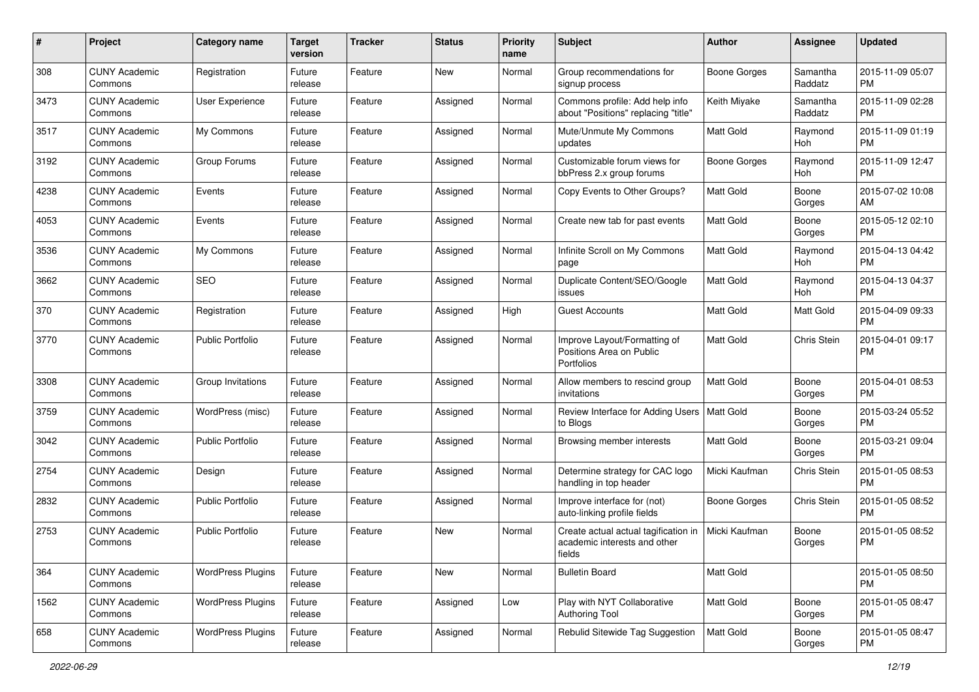| #    | Project                         | <b>Category name</b>     | <b>Target</b><br>version | <b>Tracker</b> | <b>Status</b> | <b>Priority</b><br>name | Subject                                                                        | Author              | <b>Assignee</b>     | <b>Updated</b>                |
|------|---------------------------------|--------------------------|--------------------------|----------------|---------------|-------------------------|--------------------------------------------------------------------------------|---------------------|---------------------|-------------------------------|
| 308  | <b>CUNY Academic</b><br>Commons | Registration             | Future<br>release        | Feature        | New           | Normal                  | Group recommendations for<br>signup process                                    | <b>Boone Gorges</b> | Samantha<br>Raddatz | 2015-11-09 05:07<br>PM        |
| 3473 | <b>CUNY Academic</b><br>Commons | User Experience          | Future<br>release        | Feature        | Assigned      | Normal                  | Commons profile: Add help info<br>about "Positions" replacing "title"          | Keith Miyake        | Samantha<br>Raddatz | 2015-11-09 02:28<br><b>PM</b> |
| 3517 | <b>CUNY Academic</b><br>Commons | My Commons               | Future<br>release        | Feature        | Assigned      | Normal                  | Mute/Unmute My Commons<br>updates                                              | Matt Gold           | Raymond<br>Hoh      | 2015-11-09 01:19<br><b>PM</b> |
| 3192 | <b>CUNY Academic</b><br>Commons | Group Forums             | Future<br>release        | Feature        | Assigned      | Normal                  | Customizable forum views for<br>bbPress 2.x group forums                       | <b>Boone Gorges</b> | Raymond<br>Hoh      | 2015-11-09 12:47<br><b>PM</b> |
| 4238 | <b>CUNY Academic</b><br>Commons | Events                   | Future<br>release        | Feature        | Assigned      | Normal                  | Copy Events to Other Groups?                                                   | Matt Gold           | Boone<br>Gorges     | 2015-07-02 10:08<br>AM        |
| 4053 | <b>CUNY Academic</b><br>Commons | Events                   | Future<br>release        | Feature        | Assigned      | Normal                  | Create new tab for past events                                                 | Matt Gold           | Boone<br>Gorges     | 2015-05-12 02:10<br>PM        |
| 3536 | <b>CUNY Academic</b><br>Commons | My Commons               | Future<br>release        | Feature        | Assigned      | Normal                  | Infinite Scroll on My Commons<br>page                                          | Matt Gold           | Raymond<br>Hoh      | 2015-04-13 04:42<br><b>PM</b> |
| 3662 | <b>CUNY Academic</b><br>Commons | <b>SEO</b>               | Future<br>release        | Feature        | Assigned      | Normal                  | Duplicate Content/SEO/Google<br>issues                                         | <b>Matt Gold</b>    | Raymond<br>Hoh      | 2015-04-13 04:37<br>PM        |
| 370  | <b>CUNY Academic</b><br>Commons | Registration             | Future<br>release        | Feature        | Assigned      | High                    | <b>Guest Accounts</b>                                                          | Matt Gold           | Matt Gold           | 2015-04-09 09:33<br><b>PM</b> |
| 3770 | <b>CUNY Academic</b><br>Commons | <b>Public Portfolio</b>  | Future<br>release        | Feature        | Assigned      | Normal                  | Improve Layout/Formatting of<br>Positions Area on Public<br>Portfolios         | <b>Matt Gold</b>    | Chris Stein         | 2015-04-01 09:17<br><b>PM</b> |
| 3308 | <b>CUNY Academic</b><br>Commons | Group Invitations        | Future<br>release        | Feature        | Assigned      | Normal                  | Allow members to rescind group<br>invitations                                  | Matt Gold           | Boone<br>Gorges     | 2015-04-01 08:53<br><b>PM</b> |
| 3759 | <b>CUNY Academic</b><br>Commons | WordPress (misc)         | Future<br>release        | Feature        | Assigned      | Normal                  | Review Interface for Adding Users   Matt Gold<br>to Blogs                      |                     | Boone<br>Gorges     | 2015-03-24 05:52<br><b>PM</b> |
| 3042 | <b>CUNY Academic</b><br>Commons | <b>Public Portfolio</b>  | Future<br>release        | Feature        | Assigned      | Normal                  | Browsing member interests                                                      | <b>Matt Gold</b>    | Boone<br>Gorges     | 2015-03-21 09:04<br><b>PM</b> |
| 2754 | <b>CUNY Academic</b><br>Commons | Design                   | Future<br>release        | Feature        | Assigned      | Normal                  | Determine strategy for CAC logo<br>handling in top header                      | Micki Kaufman       | Chris Stein         | 2015-01-05 08:53<br><b>PM</b> |
| 2832 | <b>CUNY Academic</b><br>Commons | <b>Public Portfolio</b>  | Future<br>release        | Feature        | Assigned      | Normal                  | Improve interface for (not)<br>auto-linking profile fields                     | <b>Boone Gorges</b> | Chris Stein         | 2015-01-05 08:52<br><b>PM</b> |
| 2753 | <b>CUNY Academic</b><br>Commons | Public Portfolio         | Future<br>release        | Feature        | <b>New</b>    | Normal                  | Create actual actual tagification in<br>academic interests and other<br>fields | Micki Kaufman       | Boone<br>Gorges     | 2015-01-05 08:52<br>PM        |
| 364  | <b>CUNY Academic</b><br>Commons | <b>WordPress Plugins</b> | Future<br>release        | Feature        | New           | Normal                  | <b>Bulletin Board</b>                                                          | Matt Gold           |                     | 2015-01-05 08:50<br>PM        |
| 1562 | <b>CUNY Academic</b><br>Commons | <b>WordPress Plugins</b> | Future<br>release        | Feature        | Assigned      | Low                     | Play with NYT Collaborative<br><b>Authoring Tool</b>                           | Matt Gold           | Boone<br>Gorges     | 2015-01-05 08:47<br>PM        |
| 658  | <b>CUNY Academic</b><br>Commons | <b>WordPress Plugins</b> | Future<br>release        | Feature        | Assigned      | Normal                  | Rebulid Sitewide Tag Suggestion                                                | Matt Gold           | Boone<br>Gorges     | 2015-01-05 08:47<br><b>PM</b> |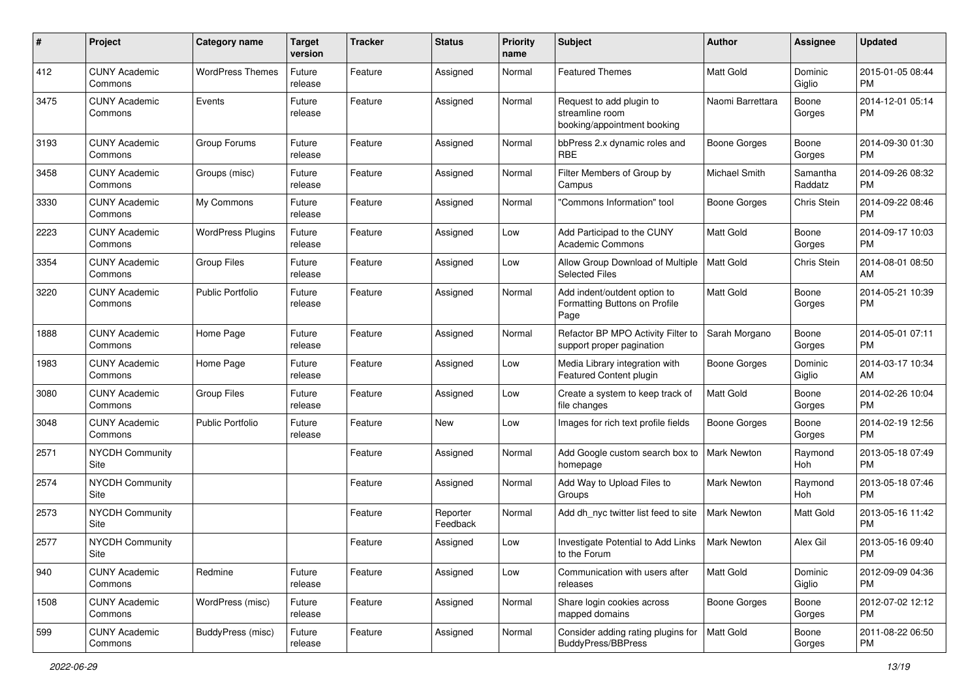| #    | Project                         | <b>Category name</b>     | <b>Target</b><br>version | <b>Tracker</b> | <b>Status</b>        | <b>Priority</b><br>name | Subject                                                                    | <b>Author</b>       | <b>Assignee</b>     | <b>Updated</b>                |
|------|---------------------------------|--------------------------|--------------------------|----------------|----------------------|-------------------------|----------------------------------------------------------------------------|---------------------|---------------------|-------------------------------|
| 412  | <b>CUNY Academic</b><br>Commons | <b>WordPress Themes</b>  | Future<br>release        | Feature        | Assigned             | Normal                  | <b>Featured Themes</b>                                                     | <b>Matt Gold</b>    | Dominic<br>Giglio   | 2015-01-05 08:44<br><b>PM</b> |
| 3475 | <b>CUNY Academic</b><br>Commons | Events                   | Future<br>release        | Feature        | Assigned             | Normal                  | Request to add plugin to<br>streamline room<br>booking/appointment booking | Naomi Barrettara    | Boone<br>Gorges     | 2014-12-01 05:14<br><b>PM</b> |
| 3193 | <b>CUNY Academic</b><br>Commons | Group Forums             | Future<br>release        | Feature        | Assigned             | Normal                  | bbPress 2.x dynamic roles and<br><b>RBE</b>                                | <b>Boone Gorges</b> | Boone<br>Gorges     | 2014-09-30 01:30<br><b>PM</b> |
| 3458 | <b>CUNY Academic</b><br>Commons | Groups (misc)            | Future<br>release        | Feature        | Assigned             | Normal                  | Filter Members of Group by<br>Campus                                       | Michael Smith       | Samantha<br>Raddatz | 2014-09-26 08:32<br><b>PM</b> |
| 3330 | <b>CUNY Academic</b><br>Commons | My Commons               | Future<br>release        | Feature        | Assigned             | Normal                  | "Commons Information" tool                                                 | Boone Gorges        | Chris Stein         | 2014-09-22 08:46<br><b>PM</b> |
| 2223 | <b>CUNY Academic</b><br>Commons | <b>WordPress Plugins</b> | Future<br>release        | Feature        | Assigned             | Low                     | Add Participad to the CUNY<br><b>Academic Commons</b>                      | <b>Matt Gold</b>    | Boone<br>Gorges     | 2014-09-17 10:03<br><b>PM</b> |
| 3354 | <b>CUNY Academic</b><br>Commons | <b>Group Files</b>       | Future<br>release        | Feature        | Assigned             | Low                     | Allow Group Download of Multiple<br><b>Selected Files</b>                  | <b>Matt Gold</b>    | Chris Stein         | 2014-08-01 08:50<br>AM        |
| 3220 | <b>CUNY Academic</b><br>Commons | <b>Public Portfolio</b>  | Future<br>release        | Feature        | Assigned             | Normal                  | Add indent/outdent option to<br>Formatting Buttons on Profile<br>Page      | Matt Gold           | Boone<br>Gorges     | 2014-05-21 10:39<br><b>PM</b> |
| 1888 | <b>CUNY Academic</b><br>Commons | Home Page                | Future<br>release        | Feature        | Assigned             | Normal                  | Refactor BP MPO Activity Filter to<br>support proper pagination            | Sarah Morgano       | Boone<br>Gorges     | 2014-05-01 07:11<br><b>PM</b> |
| 1983 | <b>CUNY Academic</b><br>Commons | Home Page                | Future<br>release        | Feature        | Assigned             | Low                     | Media Library integration with<br>Featured Content plugin                  | <b>Boone Gorges</b> | Dominic<br>Giglio   | 2014-03-17 10:34<br>AM        |
| 3080 | <b>CUNY Academic</b><br>Commons | <b>Group Files</b>       | Future<br>release        | Feature        | Assigned             | Low                     | Create a system to keep track of<br>file changes                           | <b>Matt Gold</b>    | Boone<br>Gorges     | 2014-02-26 10:04<br><b>PM</b> |
| 3048 | <b>CUNY Academic</b><br>Commons | <b>Public Portfolio</b>  | Future<br>release        | Feature        | New                  | Low                     | Images for rich text profile fields                                        | Boone Gorges        | Boone<br>Gorges     | 2014-02-19 12:56<br><b>PM</b> |
| 2571 | <b>NYCDH Community</b><br>Site  |                          |                          | Feature        | Assigned             | Normal                  | Add Google custom search box to<br>homepage                                | Mark Newton         | Raymond<br>Hoh      | 2013-05-18 07:49<br><b>PM</b> |
| 2574 | <b>NYCDH Community</b><br>Site  |                          |                          | Feature        | Assigned             | Normal                  | Add Way to Upload Files to<br>Groups                                       | <b>Mark Newton</b>  | Raymond<br>Hoh      | 2013-05-18 07:46<br><b>PM</b> |
| 2573 | NYCDH Community<br>Site         |                          |                          | Feature        | Reporter<br>Feedback | Normal                  | Add dh_nyc twitter list feed to site                                       | <b>Mark Newton</b>  | <b>Matt Gold</b>    | 2013-05-16 11:42<br><b>PM</b> |
| 2577 | <b>NYCDH Community</b><br>Site  |                          |                          | Feature        | Assigned             | Low                     | Investigate Potential to Add Links<br>to the Forum                         | <b>Mark Newton</b>  | Alex Gil            | 2013-05-16 09:40<br>PM        |
| 940  | <b>CUNY Academic</b><br>Commons | Redmine                  | Future<br>release        | Feature        | Assigned             | Low                     | Communication with users after<br>releases                                 | Matt Gold           | Dominic<br>Giglio   | 2012-09-09 04:36<br><b>PM</b> |
| 1508 | <b>CUNY Academic</b><br>Commons | WordPress (misc)         | Future<br>release        | Feature        | Assigned             | Normal                  | Share login cookies across<br>mapped domains                               | Boone Gorges        | Boone<br>Gorges     | 2012-07-02 12:12<br><b>PM</b> |
| 599  | <b>CUNY Academic</b><br>Commons | <b>BuddyPress (misc)</b> | Future<br>release        | Feature        | Assigned             | Normal                  | Consider adding rating plugins for<br><b>BuddyPress/BBPress</b>            | Matt Gold           | Boone<br>Gorges     | 2011-08-22 06:50<br>PM        |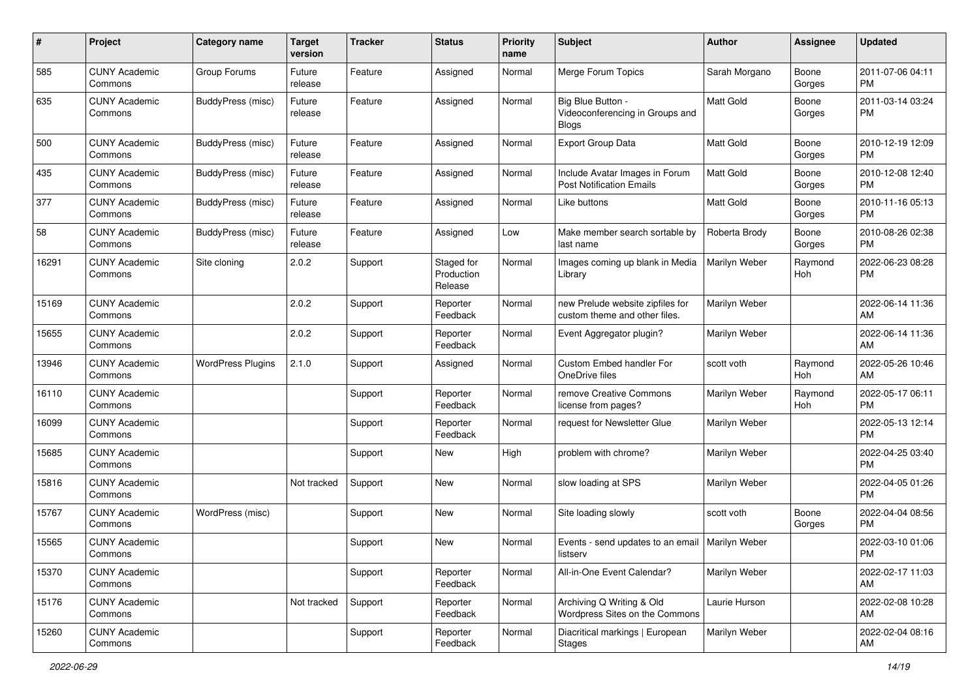| #     | Project                         | Category name            | <b>Target</b><br>version | <b>Tracker</b> | <b>Status</b>                       | <b>Priority</b><br>name | Subject                                                              | <b>Author</b>    | <b>Assignee</b> | <b>Updated</b>                |
|-------|---------------------------------|--------------------------|--------------------------|----------------|-------------------------------------|-------------------------|----------------------------------------------------------------------|------------------|-----------------|-------------------------------|
| 585   | <b>CUNY Academic</b><br>Commons | Group Forums             | Future<br>release        | Feature        | Assigned                            | Normal                  | Merge Forum Topics                                                   | Sarah Morgano    | Boone<br>Gorges | 2011-07-06 04:11<br>PM        |
| 635   | <b>CUNY Academic</b><br>Commons | BuddyPress (misc)        | Future<br>release        | Feature        | Assigned                            | Normal                  | Big Blue Button -<br>Videoconferencing in Groups and<br><b>Blogs</b> | <b>Matt Gold</b> | Boone<br>Gorges | 2011-03-14 03:24<br><b>PM</b> |
| 500   | <b>CUNY Academic</b><br>Commons | BuddyPress (misc)        | Future<br>release        | Feature        | Assigned                            | Normal                  | Export Group Data                                                    | Matt Gold        | Boone<br>Gorges | 2010-12-19 12:09<br><b>PM</b> |
| 435   | <b>CUNY Academic</b><br>Commons | <b>BuddyPress (misc)</b> | Future<br>release        | Feature        | Assigned                            | Normal                  | Include Avatar Images in Forum<br><b>Post Notification Emails</b>    | <b>Matt Gold</b> | Boone<br>Gorges | 2010-12-08 12:40<br><b>PM</b> |
| 377   | <b>CUNY Academic</b><br>Commons | BuddyPress (misc)        | Future<br>release        | Feature        | Assigned                            | Normal                  | Like buttons                                                         | <b>Matt Gold</b> | Boone<br>Gorges | 2010-11-16 05:13<br><b>PM</b> |
| 58    | <b>CUNY Academic</b><br>Commons | BuddyPress (misc)        | Future<br>release        | Feature        | Assigned                            | Low                     | Make member search sortable by<br>last name                          | Roberta Brody    | Boone<br>Gorges | 2010-08-26 02:38<br><b>PM</b> |
| 16291 | <b>CUNY Academic</b><br>Commons | Site cloning             | 2.0.2                    | Support        | Staged for<br>Production<br>Release | Normal                  | Images coming up blank in Media<br>Library                           | Marilyn Weber    | Raymond<br>Hoh  | 2022-06-23 08:28<br>PM        |
| 15169 | <b>CUNY Academic</b><br>Commons |                          | 2.0.2                    | Support        | Reporter<br>Feedback                | Normal                  | new Prelude website zipfiles for<br>custom theme and other files.    | Marilyn Weber    |                 | 2022-06-14 11:36<br>AM        |
| 15655 | <b>CUNY Academic</b><br>Commons |                          | 2.0.2                    | Support        | Reporter<br>Feedback                | Normal                  | Event Aggregator plugin?                                             | Marilyn Weber    |                 | 2022-06-14 11:36<br>AM        |
| 13946 | <b>CUNY Academic</b><br>Commons | <b>WordPress Plugins</b> | 2.1.0                    | Support        | Assigned                            | Normal                  | Custom Embed handler For<br>OneDrive files                           | scott voth       | Raymond<br>Hoh  | 2022-05-26 10:46<br>AM        |
| 16110 | <b>CUNY Academic</b><br>Commons |                          |                          | Support        | Reporter<br>Feedback                | Normal                  | remove Creative Commons<br>license from pages?                       | Marilyn Weber    | Raymond<br>Hoh  | 2022-05-17 06:11<br><b>PM</b> |
| 16099 | <b>CUNY Academic</b><br>Commons |                          |                          | Support        | Reporter<br>Feedback                | Normal                  | request for Newsletter Glue                                          | Marilyn Weber    |                 | 2022-05-13 12:14<br>РM        |
| 15685 | <b>CUNY Academic</b><br>Commons |                          |                          | Support        | New                                 | High                    | problem with chrome?                                                 | Marilyn Weber    |                 | 2022-04-25 03:40<br>PM        |
| 15816 | <b>CUNY Academic</b><br>Commons |                          | Not tracked              | Support        | <b>New</b>                          | Normal                  | slow loading at SPS                                                  | Marilyn Weber    |                 | 2022-04-05 01:26<br><b>PM</b> |
| 15767 | <b>CUNY Academic</b><br>Commons | WordPress (misc)         |                          | Support        | New                                 | Normal                  | Site loading slowly                                                  | scott voth       | Boone<br>Gorges | 2022-04-04 08:56<br><b>PM</b> |
| 15565 | <b>CUNY Academic</b><br>Commons |                          |                          | Support        | New                                 | Normal                  | Events - send updates to an email   Marilyn Weber<br>listserv        |                  |                 | 2022-03-10 01:06<br><b>PM</b> |
| 15370 | <b>CUNY Academic</b><br>Commons |                          |                          | Support        | Reporter<br>Feedback                | Normal                  | All-in-One Event Calendar?                                           | Marilyn Weber    |                 | 2022-02-17 11:03<br>AM        |
| 15176 | <b>CUNY Academic</b><br>Commons |                          | Not tracked              | Support        | Reporter<br>Feedback                | Normal                  | Archiving Q Writing & Old<br>Wordpress Sites on the Commons          | Laurie Hurson    |                 | 2022-02-08 10:28<br>AM        |
| 15260 | <b>CUNY Academic</b><br>Commons |                          |                          | Support        | Reporter<br>Feedback                | Normal                  | Diacritical markings   European<br><b>Stages</b>                     | Marilyn Weber    |                 | 2022-02-04 08:16<br>AM        |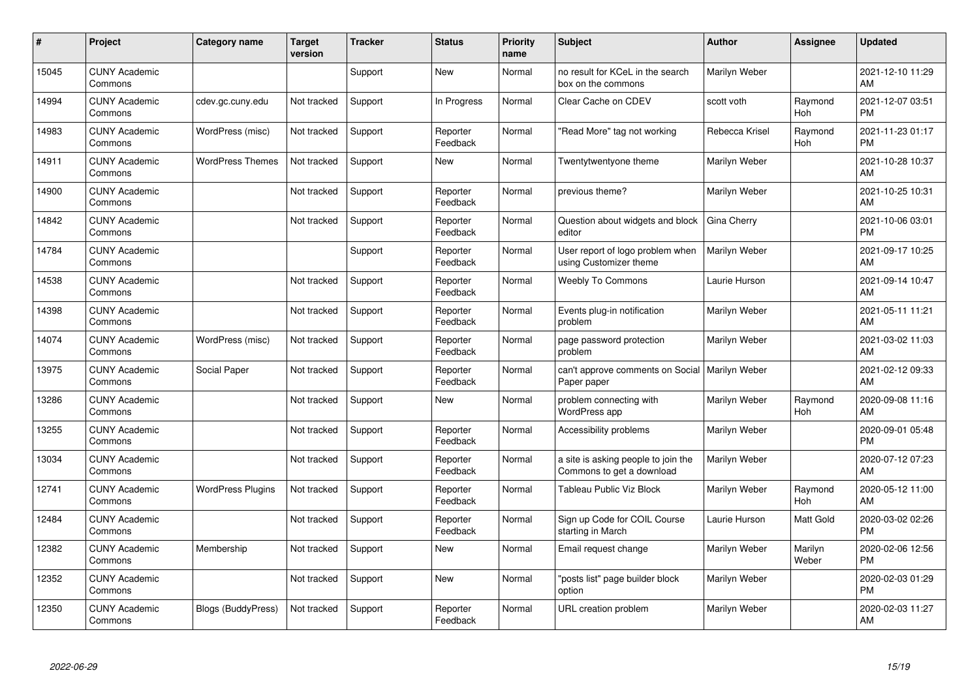| #     | Project                         | <b>Category name</b>      | <b>Target</b><br>version | <b>Tracker</b> | <b>Status</b>        | <b>Priority</b><br>name | <b>Subject</b>                                                   | <b>Author</b>  | <b>Assignee</b>       | <b>Updated</b>                |
|-------|---------------------------------|---------------------------|--------------------------|----------------|----------------------|-------------------------|------------------------------------------------------------------|----------------|-----------------------|-------------------------------|
| 15045 | <b>CUNY Academic</b><br>Commons |                           |                          | Support        | <b>New</b>           | Normal                  | no result for KCeL in the search<br>box on the commons           | Marilyn Weber  |                       | 2021-12-10 11:29<br>AM        |
| 14994 | <b>CUNY Academic</b><br>Commons | cdev.gc.cuny.edu          | Not tracked              | Support        | In Progress          | Normal                  | Clear Cache on CDEV                                              | scott voth     | Raymond<br><b>Hoh</b> | 2021-12-07 03:51<br><b>PM</b> |
| 14983 | <b>CUNY Academic</b><br>Commons | WordPress (misc)          | Not tracked              | Support        | Reporter<br>Feedback | Normal                  | 'Read More" tag not working                                      | Rebecca Krisel | Raymond<br>Hoh        | 2021-11-23 01:17<br><b>PM</b> |
| 14911 | <b>CUNY Academic</b><br>Commons | <b>WordPress Themes</b>   | Not tracked              | Support        | <b>New</b>           | Normal                  | Twentytwentyone theme                                            | Marilyn Weber  |                       | 2021-10-28 10:37<br>AM        |
| 14900 | <b>CUNY Academic</b><br>Commons |                           | Not tracked              | Support        | Reporter<br>Feedback | Normal                  | previous theme?                                                  | Marilyn Weber  |                       | 2021-10-25 10:31<br>AM        |
| 14842 | <b>CUNY Academic</b><br>Commons |                           | Not tracked              | Support        | Reporter<br>Feedback | Normal                  | Question about widgets and block<br>editor                       | Gina Cherry    |                       | 2021-10-06 03:01<br><b>PM</b> |
| 14784 | <b>CUNY Academic</b><br>Commons |                           |                          | Support        | Reporter<br>Feedback | Normal                  | User report of logo problem when<br>using Customizer theme       | Marilyn Weber  |                       | 2021-09-17 10:25<br>AM        |
| 14538 | <b>CUNY Academic</b><br>Commons |                           | Not tracked              | Support        | Reporter<br>Feedback | Normal                  | <b>Weebly To Commons</b>                                         | Laurie Hurson  |                       | 2021-09-14 10:47<br>AM        |
| 14398 | <b>CUNY Academic</b><br>Commons |                           | Not tracked              | Support        | Reporter<br>Feedback | Normal                  | Events plug-in notification<br>problem                           | Marilyn Weber  |                       | 2021-05-11 11:21<br>AM        |
| 14074 | <b>CUNY Academic</b><br>Commons | WordPress (misc)          | Not tracked              | Support        | Reporter<br>Feedback | Normal                  | page password protection<br>problem                              | Marilyn Weber  |                       | 2021-03-02 11:03<br>AM        |
| 13975 | <b>CUNY Academic</b><br>Commons | Social Paper              | Not tracked              | Support        | Reporter<br>Feedback | Normal                  | can't approve comments on Social<br>Paper paper                  | Marilyn Weber  |                       | 2021-02-12 09:33<br>AM        |
| 13286 | <b>CUNY Academic</b><br>Commons |                           | Not tracked              | Support        | New                  | Normal                  | problem connecting with<br>WordPress app                         | Marilyn Weber  | Raymond<br>Hoh        | 2020-09-08 11:16<br>AM        |
| 13255 | <b>CUNY Academic</b><br>Commons |                           | Not tracked              | Support        | Reporter<br>Feedback | Normal                  | Accessibility problems                                           | Marilyn Weber  |                       | 2020-09-01 05:48<br><b>PM</b> |
| 13034 | <b>CUNY Academic</b><br>Commons |                           | Not tracked              | Support        | Reporter<br>Feedback | Normal                  | a site is asking people to join the<br>Commons to get a download | Marilyn Weber  |                       | 2020-07-12 07:23<br>AM        |
| 12741 | <b>CUNY Academic</b><br>Commons | <b>WordPress Plugins</b>  | Not tracked              | Support        | Reporter<br>Feedback | Normal                  | Tableau Public Viz Block                                         | Marilyn Weber  | Raymond<br><b>Hoh</b> | 2020-05-12 11:00<br>AM        |
| 12484 | <b>CUNY Academic</b><br>Commons |                           | Not tracked              | Support        | Reporter<br>Feedback | Normal                  | Sign up Code for COIL Course<br>starting in March                | Laurie Hurson  | Matt Gold             | 2020-03-02 02:26<br><b>PM</b> |
| 12382 | <b>CUNY Academic</b><br>Commons | Membership                | Not tracked              | Support        | New                  | Normal                  | Email request change                                             | Marilyn Weber  | Marilyn<br>Weber      | 2020-02-06 12:56<br><b>PM</b> |
| 12352 | <b>CUNY Academic</b><br>Commons |                           | Not tracked              | Support        | <b>New</b>           | Normal                  | 'posts list" page builder block<br>option                        | Marilyn Weber  |                       | 2020-02-03 01:29<br><b>PM</b> |
| 12350 | <b>CUNY Academic</b><br>Commons | <b>Blogs (BuddyPress)</b> | Not tracked              | Support        | Reporter<br>Feedback | Normal                  | URL creation problem                                             | Marilyn Weber  |                       | 2020-02-03 11:27<br>AM        |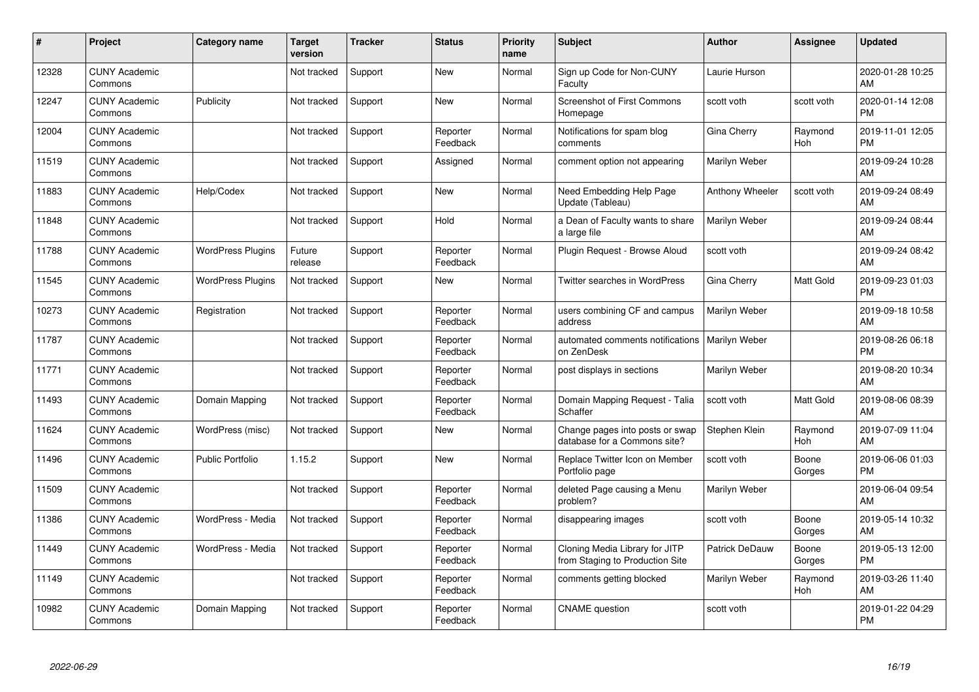| #     | Project                         | <b>Category name</b>     | <b>Target</b><br>version | <b>Tracker</b> | <b>Status</b>        | <b>Priority</b><br>name | <b>Subject</b>                                                    | Author          | <b>Assignee</b>  | <b>Updated</b>                |
|-------|---------------------------------|--------------------------|--------------------------|----------------|----------------------|-------------------------|-------------------------------------------------------------------|-----------------|------------------|-------------------------------|
| 12328 | <b>CUNY Academic</b><br>Commons |                          | Not tracked              | Support        | <b>New</b>           | Normal                  | Sign up Code for Non-CUNY<br>Faculty                              | Laurie Hurson   |                  | 2020-01-28 10:25<br>AM        |
| 12247 | <b>CUNY Academic</b><br>Commons | Publicity                | Not tracked              | Support        | <b>New</b>           | Normal                  | Screenshot of First Commons<br>Homepage                           | scott voth      | scott voth       | 2020-01-14 12:08<br><b>PM</b> |
| 12004 | <b>CUNY Academic</b><br>Commons |                          | Not tracked              | Support        | Reporter<br>Feedback | Normal                  | Notifications for spam blog<br>comments                           | Gina Cherry     | Raymond<br>Hoh   | 2019-11-01 12:05<br><b>PM</b> |
| 11519 | <b>CUNY Academic</b><br>Commons |                          | Not tracked              | Support        | Assigned             | Normal                  | comment option not appearing                                      | Marilyn Weber   |                  | 2019-09-24 10:28<br>AM        |
| 11883 | <b>CUNY Academic</b><br>Commons | Help/Codex               | Not tracked              | Support        | <b>New</b>           | Normal                  | Need Embedding Help Page<br>Update (Tableau)                      | Anthony Wheeler | scott voth       | 2019-09-24 08:49<br>AM        |
| 11848 | <b>CUNY Academic</b><br>Commons |                          | Not tracked              | Support        | Hold                 | Normal                  | a Dean of Faculty wants to share<br>a large file                  | Marilyn Weber   |                  | 2019-09-24 08:44<br>AM        |
| 11788 | <b>CUNY Academic</b><br>Commons | <b>WordPress Plugins</b> | Future<br>release        | Support        | Reporter<br>Feedback | Normal                  | Plugin Request - Browse Aloud                                     | scott voth      |                  | 2019-09-24 08:42<br>AM        |
| 11545 | <b>CUNY Academic</b><br>Commons | <b>WordPress Plugins</b> | Not tracked              | Support        | <b>New</b>           | Normal                  | <b>Twitter searches in WordPress</b>                              | Gina Cherry     | <b>Matt Gold</b> | 2019-09-23 01:03<br><b>PM</b> |
| 10273 | <b>CUNY Academic</b><br>Commons | Registration             | Not tracked              | Support        | Reporter<br>Feedback | Normal                  | users combining CF and campus<br>address                          | Marilyn Weber   |                  | 2019-09-18 10:58<br>AM        |
| 11787 | <b>CUNY Academic</b><br>Commons |                          | Not tracked              | Support        | Reporter<br>Feedback | Normal                  | automated comments notifications<br>on ZenDesk                    | Marilyn Weber   |                  | 2019-08-26 06:18<br><b>PM</b> |
| 11771 | <b>CUNY Academic</b><br>Commons |                          | Not tracked              | Support        | Reporter<br>Feedback | Normal                  | post displays in sections                                         | Marilyn Weber   |                  | 2019-08-20 10:34<br>AM        |
| 11493 | <b>CUNY Academic</b><br>Commons | Domain Mapping           | Not tracked              | Support        | Reporter<br>Feedback | Normal                  | Domain Mapping Request - Talia<br>Schaffer                        | scott voth      | <b>Matt Gold</b> | 2019-08-06 08:39<br>AM        |
| 11624 | <b>CUNY Academic</b><br>Commons | WordPress (misc)         | Not tracked              | Support        | <b>New</b>           | Normal                  | Change pages into posts or swap<br>database for a Commons site?   | Stephen Klein   | Raymond<br>Hoh   | 2019-07-09 11:04<br>AM        |
| 11496 | <b>CUNY Academic</b><br>Commons | <b>Public Portfolio</b>  | 1.15.2                   | Support        | <b>New</b>           | Normal                  | Replace Twitter Icon on Member<br>Portfolio page                  | scott voth      | Boone<br>Gorges  | 2019-06-06 01:03<br><b>PM</b> |
| 11509 | <b>CUNY Academic</b><br>Commons |                          | Not tracked              | Support        | Reporter<br>Feedback | Normal                  | deleted Page causing a Menu<br>problem?                           | Marilyn Weber   |                  | 2019-06-04 09:54<br>AM        |
| 11386 | <b>CUNY Academic</b><br>Commons | WordPress - Media        | Not tracked              | Support        | Reporter<br>Feedback | Normal                  | disappearing images                                               | scott voth      | Boone<br>Gorges  | 2019-05-14 10:32<br>AM        |
| 11449 | <b>CUNY Academic</b><br>Commons | WordPress - Media        | Not tracked              | Support        | Reporter<br>Feedback | Normal                  | Cloning Media Library for JITP<br>from Staging to Production Site | Patrick DeDauw  | Boone<br>Gorges  | 2019-05-13 12:00<br><b>PM</b> |
| 11149 | <b>CUNY Academic</b><br>Commons |                          | Not tracked              | Support        | Reporter<br>Feedback | Normal                  | comments getting blocked                                          | Marilyn Weber   | Raymond<br>Hoh   | 2019-03-26 11:40<br>AM        |
| 10982 | <b>CUNY Academic</b><br>Commons | Domain Mapping           | Not tracked              | Support        | Reporter<br>Feedback | Normal                  | <b>CNAME</b> question                                             | scott voth      |                  | 2019-01-22 04:29<br>PM        |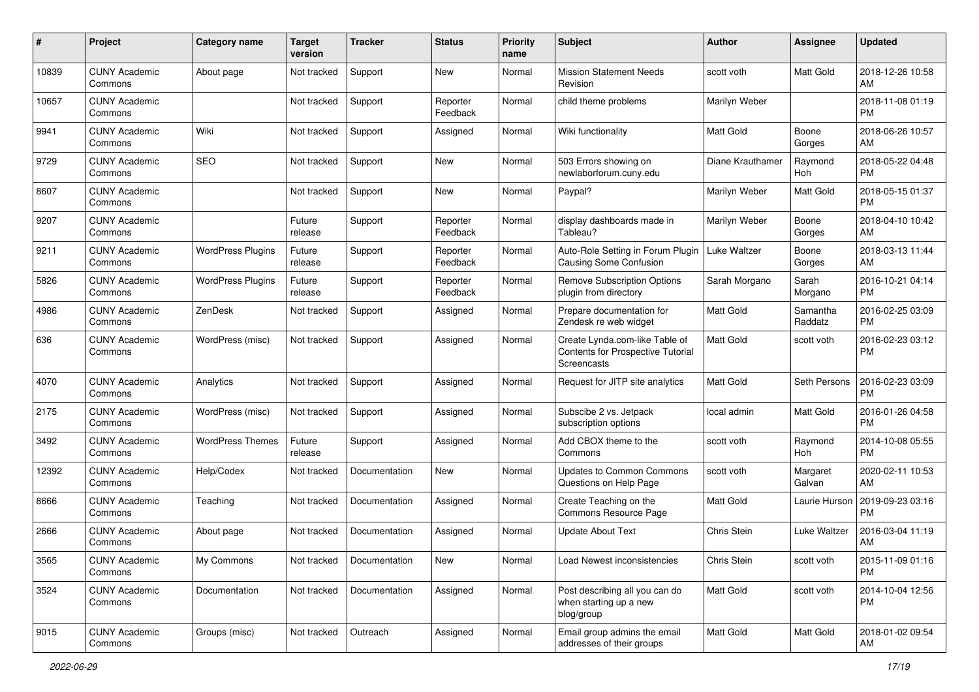| #     | Project                         | <b>Category name</b>     | <b>Target</b><br>version | <b>Tracker</b> | <b>Status</b>        | <b>Priority</b><br>name | <b>Subject</b>                                                                     | <b>Author</b>       | <b>Assignee</b>     | <b>Updated</b>                |
|-------|---------------------------------|--------------------------|--------------------------|----------------|----------------------|-------------------------|------------------------------------------------------------------------------------|---------------------|---------------------|-------------------------------|
| 10839 | <b>CUNY Academic</b><br>Commons | About page               | Not tracked              | Support        | <b>New</b>           | Normal                  | <b>Mission Statement Needs</b><br>Revision                                         | scott voth          | Matt Gold           | 2018-12-26 10:58<br>AM        |
| 10657 | <b>CUNY Academic</b><br>Commons |                          | Not tracked              | Support        | Reporter<br>Feedback | Normal                  | child theme problems                                                               | Marilyn Weber       |                     | 2018-11-08 01:19<br><b>PM</b> |
| 9941  | <b>CUNY Academic</b><br>Commons | Wiki                     | Not tracked              | Support        | Assigned             | Normal                  | Wiki functionality                                                                 | <b>Matt Gold</b>    | Boone<br>Gorges     | 2018-06-26 10:57<br>AM        |
| 9729  | <b>CUNY Academic</b><br>Commons | <b>SEO</b>               | Not tracked              | Support        | <b>New</b>           | Normal                  | 503 Errors showing on<br>newlaborforum.cuny.edu                                    | Diane Krauthamer    | Raymond<br>Hoh      | 2018-05-22 04:48<br><b>PM</b> |
| 8607  | <b>CUNY Academic</b><br>Commons |                          | Not tracked              | Support        | <b>New</b>           | Normal                  | Paypal?                                                                            | Marilyn Weber       | Matt Gold           | 2018-05-15 01:37<br><b>PM</b> |
| 9207  | <b>CUNY Academic</b><br>Commons |                          | Future<br>release        | Support        | Reporter<br>Feedback | Normal                  | display dashboards made in<br>Tableau?                                             | Marilyn Weber       | Boone<br>Gorges     | 2018-04-10 10:42<br>AM        |
| 9211  | <b>CUNY Academic</b><br>Commons | <b>WordPress Plugins</b> | Future<br>release        | Support        | Reporter<br>Feedback | Normal                  | Auto-Role Setting in Forum Plugin<br>Causing Some Confusion                        | <b>Luke Waltzer</b> | Boone<br>Gorges     | 2018-03-13 11:44<br>AM        |
| 5826  | <b>CUNY Academic</b><br>Commons | <b>WordPress Plugins</b> | Future<br>release        | Support        | Reporter<br>Feedback | Normal                  | <b>Remove Subscription Options</b><br>plugin from directory                        | Sarah Morgano       | Sarah<br>Morgano    | 2016-10-21 04:14<br><b>PM</b> |
| 4986  | <b>CUNY Academic</b><br>Commons | ZenDesk                  | Not tracked              | Support        | Assigned             | Normal                  | Prepare documentation for<br>Zendesk re web widget                                 | <b>Matt Gold</b>    | Samantha<br>Raddatz | 2016-02-25 03:09<br><b>PM</b> |
| 636   | <b>CUNY Academic</b><br>Commons | WordPress (misc)         | Not tracked              | Support        | Assigned             | Normal                  | Create Lynda.com-like Table of<br>Contents for Prospective Tutorial<br>Screencasts | <b>Matt Gold</b>    | scott voth          | 2016-02-23 03:12<br><b>PM</b> |
| 4070  | <b>CUNY Academic</b><br>Commons | Analytics                | Not tracked              | Support        | Assigned             | Normal                  | Request for JITP site analytics                                                    | <b>Matt Gold</b>    | Seth Persons        | 2016-02-23 03:09<br><b>PM</b> |
| 2175  | <b>CUNY Academic</b><br>Commons | WordPress (misc)         | Not tracked              | Support        | Assigned             | Normal                  | Subscibe 2 vs. Jetpack<br>subscription options                                     | local admin         | <b>Matt Gold</b>    | 2016-01-26 04:58<br><b>PM</b> |
| 3492  | <b>CUNY Academic</b><br>Commons | <b>WordPress Themes</b>  | Future<br>release        | Support        | Assigned             | Normal                  | Add CBOX theme to the<br>Commons                                                   | scott voth          | Raymond<br>Hoh      | 2014-10-08 05:55<br><b>PM</b> |
| 12392 | <b>CUNY Academic</b><br>Commons | Help/Codex               | Not tracked              | Documentation  | <b>New</b>           | Normal                  | <b>Updates to Common Commons</b><br>Questions on Help Page                         | scott voth          | Margaret<br>Galvan  | 2020-02-11 10:53<br>AM        |
| 8666  | <b>CUNY Academic</b><br>Commons | Teaching                 | Not tracked              | Documentation  | Assigned             | Normal                  | Create Teaching on the<br>Commons Resource Page                                    | Matt Gold           | Laurie Hurson       | 2019-09-23 03:16<br><b>PM</b> |
| 2666  | <b>CUNY Academic</b><br>Commons | About page               | Not tracked              | Documentation  | Assigned             | Normal                  | <b>Update About Text</b>                                                           | Chris Stein         | Luke Waltzer        | 2016-03-04 11:19<br>AM        |
| 3565  | <b>CUNY Academic</b><br>Commons | My Commons               | Not tracked              | Documentation  | New                  | Normal                  | Load Newest inconsistencies                                                        | Chris Stein         | scott voth          | 2015-11-09 01:16<br>PM        |
| 3524  | <b>CUNY Academic</b><br>Commons | Documentation            | Not tracked              | Documentation  | Assigned             | Normal                  | Post describing all you can do<br>when starting up a new<br>blog/group             | Matt Gold           | scott voth          | 2014-10-04 12:56<br>PM        |
| 9015  | <b>CUNY Academic</b><br>Commons | Groups (misc)            | Not tracked              | Outreach       | Assigned             | Normal                  | Email group admins the email<br>addresses of their groups                          | Matt Gold           | Matt Gold           | 2018-01-02 09:54<br>AM        |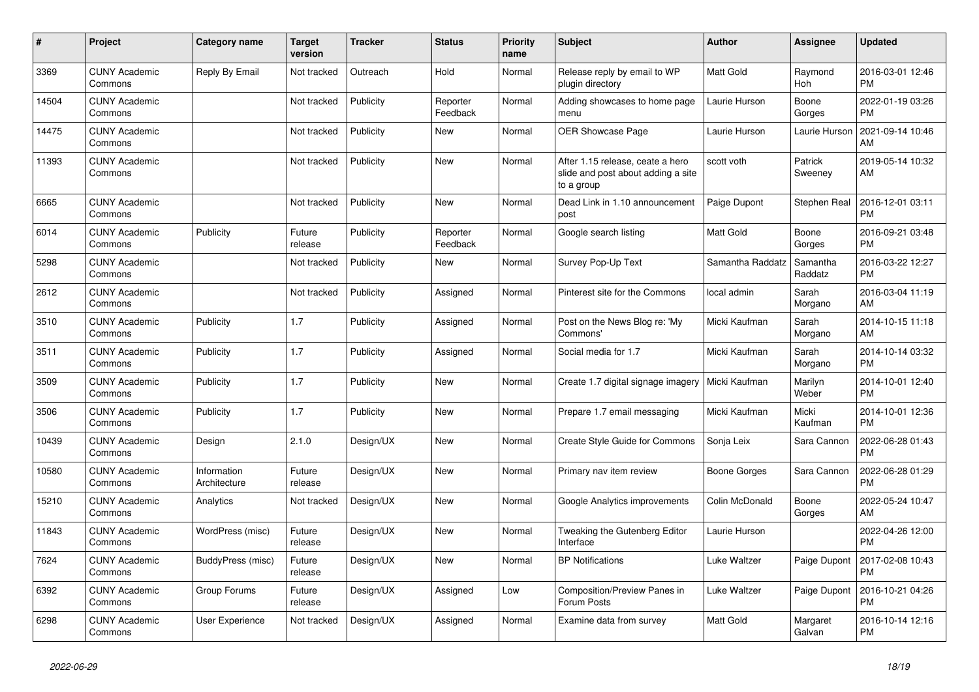| #     | Project                         | <b>Category name</b>        | <b>Target</b><br>version | <b>Tracker</b> | <b>Status</b>        | Priority<br>name | <b>Subject</b>                                                                       | <b>Author</b>    | Assignee            | <b>Updated</b>                |
|-------|---------------------------------|-----------------------------|--------------------------|----------------|----------------------|------------------|--------------------------------------------------------------------------------------|------------------|---------------------|-------------------------------|
| 3369  | <b>CUNY Academic</b><br>Commons | Reply By Email              | Not tracked              | Outreach       | Hold                 | Normal           | Release reply by email to WP<br>plugin directory                                     | <b>Matt Gold</b> | Raymond<br>Hoh      | 2016-03-01 12:46<br><b>PM</b> |
| 14504 | <b>CUNY Academic</b><br>Commons |                             | Not tracked              | Publicity      | Reporter<br>Feedback | Normal           | Adding showcases to home page<br>menu                                                | Laurie Hurson    | Boone<br>Gorges     | 2022-01-19 03:26<br><b>PM</b> |
| 14475 | <b>CUNY Academic</b><br>Commons |                             | Not tracked              | Publicity      | New                  | Normal           | <b>OER Showcase Page</b>                                                             | Laurie Hurson    | Laurie Hurson       | 2021-09-14 10:46<br>AM        |
| 11393 | <b>CUNY Academic</b><br>Commons |                             | Not tracked              | Publicity      | <b>New</b>           | Normal           | After 1.15 release, ceate a hero<br>slide and post about adding a site<br>to a group | scott voth       | Patrick<br>Sweeney  | 2019-05-14 10:32<br>AM        |
| 6665  | <b>CUNY Academic</b><br>Commons |                             | Not tracked              | Publicity      | <b>New</b>           | Normal           | Dead Link in 1.10 announcement<br>post                                               | Paige Dupont     | Stephen Real        | 2016-12-01 03:11<br><b>PM</b> |
| 6014  | <b>CUNY Academic</b><br>Commons | Publicity                   | Future<br>release        | Publicity      | Reporter<br>Feedback | Normal           | Google search listing                                                                | <b>Matt Gold</b> | Boone<br>Gorges     | 2016-09-21 03:48<br><b>PM</b> |
| 5298  | <b>CUNY Academic</b><br>Commons |                             | Not tracked              | Publicity      | <b>New</b>           | Normal           | Survey Pop-Up Text                                                                   | Samantha Raddatz | Samantha<br>Raddatz | 2016-03-22 12:27<br><b>PM</b> |
| 2612  | <b>CUNY Academic</b><br>Commons |                             | Not tracked              | Publicity      | Assigned             | Normal           | Pinterest site for the Commons                                                       | local admin      | Sarah<br>Morgano    | 2016-03-04 11:19<br>AM        |
| 3510  | <b>CUNY Academic</b><br>Commons | Publicity                   | 1.7                      | Publicity      | Assigned             | Normal           | Post on the News Blog re: 'My<br>Commons'                                            | Micki Kaufman    | Sarah<br>Morgano    | 2014-10-15 11:18<br>AM        |
| 3511  | <b>CUNY Academic</b><br>Commons | Publicity                   | 1.7                      | Publicity      | Assigned             | Normal           | Social media for 1.7                                                                 | Micki Kaufman    | Sarah<br>Morgano    | 2014-10-14 03:32<br><b>PM</b> |
| 3509  | <b>CUNY Academic</b><br>Commons | Publicity                   | 1.7                      | Publicity      | <b>New</b>           | Normal           | Create 1.7 digital signage imagery                                                   | Micki Kaufman    | Marilyn<br>Weber    | 2014-10-01 12:40<br><b>PM</b> |
| 3506  | <b>CUNY Academic</b><br>Commons | Publicity                   | 1.7                      | Publicity      | New                  | Normal           | Prepare 1.7 email messaging                                                          | Micki Kaufman    | Micki<br>Kaufman    | 2014-10-01 12:36<br><b>PM</b> |
| 10439 | <b>CUNY Academic</b><br>Commons | Design                      | 2.1.0                    | Design/UX      | <b>New</b>           | Normal           | Create Style Guide for Commons                                                       | Sonja Leix       | Sara Cannon         | 2022-06-28 01:43<br><b>PM</b> |
| 10580 | <b>CUNY Academic</b><br>Commons | Information<br>Architecture | Future<br>release        | Design/UX      | <b>New</b>           | Normal           | Primary nav item review                                                              | Boone Gorges     | Sara Cannon         | 2022-06-28 01:29<br><b>PM</b> |
| 15210 | <b>CUNY Academic</b><br>Commons | Analytics                   | Not tracked              | Design/UX      | <b>New</b>           | Normal           | Google Analytics improvements                                                        | Colin McDonald   | Boone<br>Gorges     | 2022-05-24 10:47<br>AM        |
| 11843 | <b>CUNY Academic</b><br>Commons | WordPress (misc)            | Future<br>release        | Design/UX      | New                  | Normal           | Tweaking the Gutenberg Editor<br>Interface                                           | Laurie Hurson    |                     | 2022-04-26 12:00<br><b>PM</b> |
| 7624  | <b>CUNY Academic</b><br>Commons | BuddyPress (misc)           | Future<br>release        | Design/UX      | <b>New</b>           | Normal           | <b>BP</b> Notifications                                                              | Luke Waltzer     | Paige Dupont        | 2017-02-08 10:43<br><b>PM</b> |
| 6392  | <b>CUNY Academic</b><br>Commons | Group Forums                | Future<br>release        | Design/UX      | Assigned             | Low              | <b>Composition/Preview Panes in</b><br>Forum Posts                                   | Luke Waltzer     | Paige Dupont        | 2016-10-21 04:26<br><b>PM</b> |
| 6298  | <b>CUNY Academic</b><br>Commons | User Experience             | Not tracked              | Design/UX      | Assigned             | Normal           | Examine data from survey                                                             | <b>Matt Gold</b> | Margaret<br>Galvan  | 2016-10-14 12:16<br><b>PM</b> |